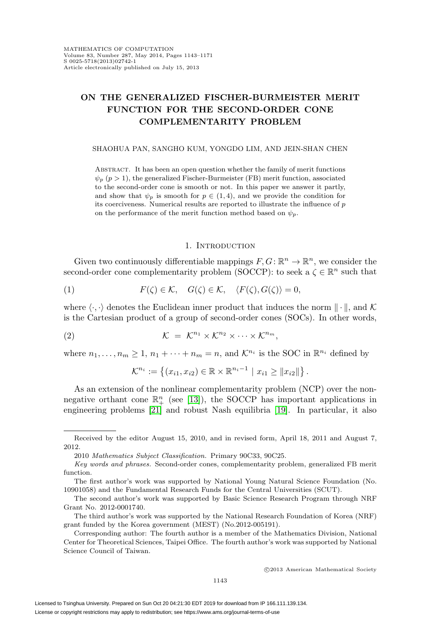# **ON THE GENERALIZED FISCHER-BURMEISTER MERIT FUNCTION FOR THE SECOND-ORDER CONE COMPLEMENTARITY PROBLEM**

#### SHAOHUA PAN, SANGHO KUM, YONGDO LIM, AND JEIN-SHAN CHEN

Abstract. It has been an open question whether the family of merit functions  $\psi_p$  ( $p > 1$ ), the generalized Fischer-Burmeister (FB) merit function, associated to the second-order cone is smooth or not. In this paper we answer it partly, and show that  $\psi_p$  is smooth for  $p \in (1, 4)$ , and we provide the condition for its coerciveness. Numerical results are reported to illustrate the influence of  $p$ on the performance of the merit function method based on  $\psi_p$ .

#### 1. INTRODUCTION

Given two continuously differentiable mappings  $F, G: \mathbb{R}^n \to \mathbb{R}^n$ , we consider the second-order cone complementarity problem (SOCCP): to seek a  $\zeta \in \mathbb{R}^n$  such that

<span id="page-0-0"></span>(1) 
$$
F(\zeta) \in \mathcal{K}, \quad G(\zeta) \in \mathcal{K}, \quad \langle F(\zeta), G(\zeta) \rangle = 0,
$$

where  $\langle \cdot, \cdot \rangle$  denotes the Euclidean inner product that induces the norm  $\|\cdot\|$ , and K is the Cartesian product of a group of second-order cones (SOCs). In other words,

<span id="page-0-1"></span>(2) 
$$
\mathcal{K} = \mathcal{K}^{n_1} \times \mathcal{K}^{n_2} \times \cdots \times \mathcal{K}^{n_m},
$$

where  $n_1,\ldots,n_m\geq 1$ ,  $n_1+\cdots+n_m=n$ , and  $\mathcal{K}^{n_i}$  is the SOC in  $\mathbb{R}^{n_i}$  defined by

$$
\mathcal{K}^{n_i} := \left\{ (x_{i1}, x_{i2}) \in \mathbb{R} \times \mathbb{R}^{n_i - 1} \mid x_{i1} \geq ||x_{i2}|| \right\}.
$$

As an extension of the nonlinear complementarity problem (NCP) over the nonnegative orthant cone  $\mathbb{R}^n_+$  (see [\[13\]](#page-27-0)), the SOCCP has important applications in engineering problems [\[21\]](#page-27-1) and robust Nash equilibria [\[19\]](#page-27-2). In particular, it also

Received by the editor August 15, 2010, and in revised form, April 18, 2011 and August 7, 2012.

<sup>2010</sup> Mathematics Subject Classification. Primary 90C33, 90C25.

Key words and phrases. Second-order cones, complementarity problem, generalized FB merit function.

The first author's work was supported by National Young Natural Science Foundation (No. 10901058) and the Fundamental Research Funds for the Central Universities (SCUT).

The second author's work was supported by Basic Science Research Program through NRF Grant No. 2012-0001740.

The third author's work was supported by the National Research Foundation of Korea (NRF) grant funded by the Korea government (MEST) (No.2012-005191).

Corresponding author: The fourth author is a member of the Mathematics Division, National Center for Theoretical Sciences, Taipei Office. The fourth author's work was supported by National Science Council of Taiwan.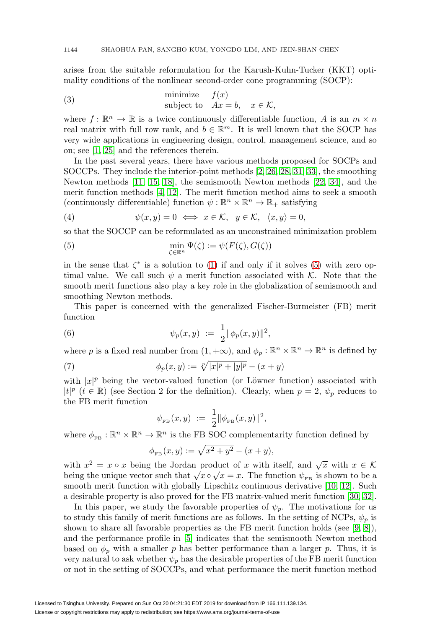arises from the suitable reformulation for the Karush-Kuhn-Tucker (KKT) optimality conditions of the nonlinear second-order cone programming (SOCP):

<span id="page-1-3"></span>(3) minimize 
$$
f(x)
$$
  
subject to  $Ax = b, x \in K$ ,

where  $f: \mathbb{R}^n \to \mathbb{R}$  is a twice continuously differentiable function, A is an  $m \times n$ real matrix with full row rank, and  $b \in \mathbb{R}^m$ . It is well known that the SOCP has very wide applications in engineering design, control, management science, and so on; see [\[1,](#page-26-0) [25\]](#page-27-3) and the references therein.

In the past several years, there have various methods proposed for SOCPs and SOCCPs. They include the interior-point methods [\[2,](#page-26-1) [26,](#page-27-4) [28,](#page-27-5) [31,](#page-27-6) [33\]](#page-28-0), the smoothing Newton methods [\[11,](#page-26-2) [15,](#page-27-7) [18\]](#page-27-8), the semismooth Newton methods [\[22,](#page-27-9) [34\]](#page-28-1), and the merit function methods [\[4,](#page-26-3) [12\]](#page-27-10). The merit function method aims to seek a smooth (continuously differentiable) function  $\psi : \mathbb{R}^n \times \mathbb{R}^n \to \mathbb{R}_+$  satisfying

(4) 
$$
\psi(x, y) = 0 \iff x \in \mathcal{K}, y \in \mathcal{K}, \langle x, y \rangle = 0,
$$

so that the SOCCP can be reformulated as an unconstrained minimization problem

<span id="page-1-0"></span>(5) 
$$
\min_{\zeta \in \mathbb{R}^n} \Psi(\zeta) := \psi(F(\zeta), G(\zeta))
$$

in the sense that  $\zeta^*$  is a solution to [\(1\)](#page-0-0) if and only if it solves [\(5\)](#page-1-0) with zero optimal value. We call such  $\psi$  a merit function associated with K. Note that the smooth merit functions also play a key role in the globalization of semismooth and smoothing Newton methods.

This paper is concerned with the generalized Fischer-Burmeister (FB) merit function

<span id="page-1-2"></span>(6) 
$$
\psi_p(x, y) := \frac{1}{2} ||\phi_p(x, y)||^2,
$$

where p is a fixed real number from  $(1, +\infty)$ , and  $\phi_p : \mathbb{R}^n \times \mathbb{R}^n \to \mathbb{R}^n$  is defined by

<span id="page-1-1"></span>(7) 
$$
\phi_p(x, y) := \sqrt[p]{|x|^p + |y|^p} - (x + y)
$$

with  $|x|^p$  being the vector-valued function (or Löwner function) associated with  $|t|^p$   $(t \in \mathbb{R})$  (see Section 2 for the definition). Clearly, when  $p = 2$ ,  $\psi_p$  reduces to the FB merit function

$$
\psi_{_{FB}}(x, y) := \frac{1}{2} ||\phi_{_{FB}}(x, y)||^2,
$$

where  $\phi_{\text{FB}} : \mathbb{R}^n \times \mathbb{R}^n \to \mathbb{R}^n$  is the FB SOC complementarity function defined by

$$
\phi_{FB}(x, y) := \sqrt{x^2 + y^2} - (x + y),
$$

with  $x^2 = x \circ x$  being the Jordan product of x with itself, and  $\sqrt{x}$  with  $x \in \mathcal{K}$ being the unique vector such that  $\sqrt{x} \circ \sqrt{x} = x$ . The function  $\psi_{FB}$  is shown to be a smooth merit function with globally Lipschitz continuous derivative [\[10,](#page-26-4) [12\]](#page-27-10). Such a desirable property is also proved for the FB matrix-valued merit function [\[30,](#page-27-11) [32\]](#page-27-12).

In this paper, we study the favorable properties of  $\psi_p$ . The motivations for us to study this family of merit functions are as follows. In the setting of NCPs,  $\psi_p$  is shown to share all favorable properties as the FB merit function holds (see  $(9, 8)$ ), and the performance profile in [\[5\]](#page-26-7) indicates that the semismooth Newton method based on  $\phi_p$  with a smaller p has better performance than a larger p. Thus, it is very natural to ask whether  $\psi_p$  has the desirable properties of the FB merit function or not in the setting of SOCCPs, and what performance the merit function method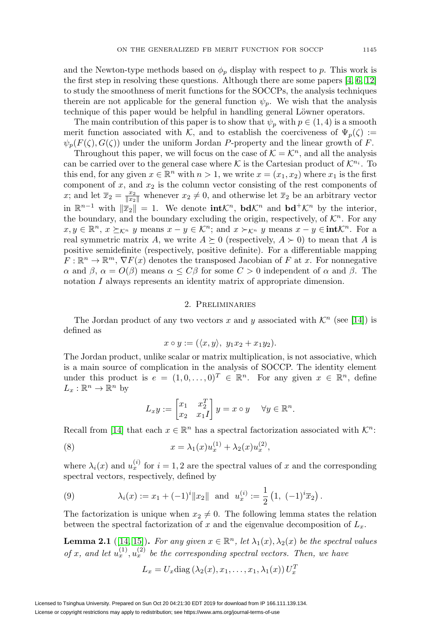and the Newton-type methods based on  $\phi_p$  display with respect to p. This work is the first step in resolving these questions. Although there are some papers [\[4,](#page-26-3) [6,](#page-26-8) [12\]](#page-27-10) to study the smoothness of merit functions for the SOCCPs, the analysis techniques therein are not applicable for the general function  $\psi_p$ . We wish that the analysis technique of this paper would be helpful in handling general Löwner operators.

The main contribution of this paper is to show that  $\psi_p$  with  $p \in (1, 4)$  is a smooth merit function associated with K, and to establish the coerciveness of  $\Psi_p(\zeta) :=$  $\psi_p(F(\zeta), G(\zeta))$  under the uniform Jordan P-property and the linear growth of F.

Throughout this paper, we will focus on the case of  $\mathcal{K} = \mathcal{K}^n$ , and all the analysis can be carried over to the general case where K is the Cartesian product of  $\mathcal{K}^{n_i}$ . To this end, for any given  $x \in \mathbb{R}^n$  with  $n > 1$ , we write  $x = (x_1, x_2)$  where  $x_1$  is the first component of  $x$ , and  $x_2$  is the column vector consisting of the rest components of x; and let  $\overline{x}_2 = \frac{x_2}{\|x_2\|}$  whenever  $x_2 \neq 0$ , and otherwise let  $\overline{x}_2$  be an arbitrary vector in  $\mathbb{R}^{n-1}$  with  $\|\overline{x}_2\| = 1$ . We denote **int** $\mathcal{K}^n$ , **bd** $\mathcal{K}^n$  and **bd**<sup>+</sup> $\mathcal{K}^n$  by the interior, the boundary, and the boundary excluding the origin, respectively, of  $\mathcal{K}^n$ . For any  $x, y \in \mathbb{R}^n$ ,  $x \succeq_{\mathcal{K}^n} y$  means  $x - y \in \mathcal{K}^n$ ; and  $x \succ_{\mathcal{K}^n} y$  means  $x - y \in \text{int}\mathcal{K}^n$ . For a real symmetric matrix A, we write  $A \succeq 0$  (respectively,  $A \succ 0$ ) to mean that A is positive semidefinite (respectively, positive definite). For a differentiable mapping  $F: \mathbb{R}^n \to \mathbb{R}^m$ ,  $\nabla F(x)$  denotes the transposed Jacobian of F at x. For nonnegative α and β,  $\alpha = O(\beta)$  means  $\alpha \leq C\beta$  for some  $C > 0$  independent of  $\alpha$  and β. The notation I always represents an identity matrix of appropriate dimension.

### 2. Preliminaries

The Jordan product of any two vectors x and y associated with  $\mathcal{K}^n$  (see [\[14\]](#page-27-13)) is defined as

$$
x \circ y := (\langle x, y \rangle, y_1 x_2 + x_1 y_2).
$$

The Jordan product, unlike scalar or matrix multiplication, is not associative, which is a main source of complication in the analysis of SOCCP. The identity element under this product is  $e = (1, 0, \ldots, 0)^T \in \mathbb{R}^n$ . For any given  $x \in \mathbb{R}^n$ , define  $L_x : \mathbb{R}^n \to \mathbb{R}^n$  by

$$
L_x y := \begin{bmatrix} x_1 & x_2^T \\ x_2 & x_1 I \end{bmatrix} y = x \circ y \quad \forall y \in \mathbb{R}^n.
$$

Recall from [\[14\]](#page-27-13) that each  $x \in \mathbb{R}^n$  has a spectral factorization associated with  $\mathcal{K}^n$ :

<span id="page-2-1"></span>(8) 
$$
x = \lambda_1(x)u_x^{(1)} + \lambda_2(x)u_x^{(2)},
$$

where  $\lambda_i(x)$  and  $u_x^{(i)}$  for  $i = 1, 2$  are the spectral values of x and the corresponding spectral vectors, respectively, defined by

<span id="page-2-2"></span>(9) 
$$
\lambda_i(x) := x_1 + (-1)^i \|x_2\| \text{ and } u_x^{(i)} := \frac{1}{2} \left( 1, \ (-1)^i \overline{x}_2 \right).
$$

The factorization is unique when  $x_2 \neq 0$ . The following lemma states the relation between the spectral factorization of x and the eigenvalue decomposition of  $L_x$ .

<span id="page-2-0"></span>**Lemma 2.1** ([\[14,](#page-27-13) [15\]](#page-27-7)). For any given  $x \in \mathbb{R}^n$ , let  $\lambda_1(x), \lambda_2(x)$  be the spectral values of x, and let  $u_x^{(1)}$ ,  $u_x^{(2)}$  be the corresponding spectral vectors. Then, we have

$$
L_x = U_x \text{diag}(\lambda_2(x), x_1, \dots, x_1, \lambda_1(x)) U_x^T
$$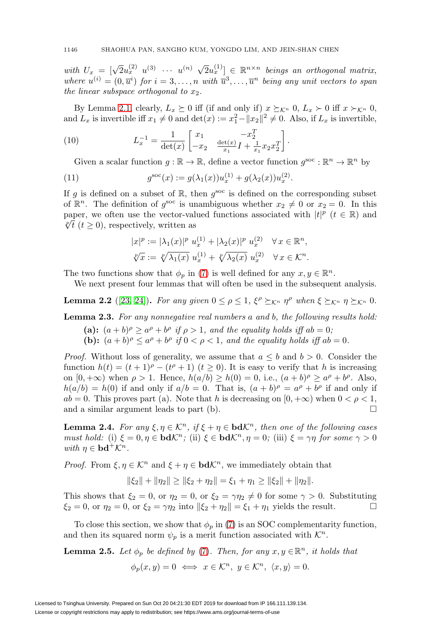with  $U_x = [\sqrt{2}u_x^{(2)} \ u^{(3)} \ \cdots \ u^{(n)} \ \sqrt{2}u_x^{(1)}] \in \mathbb{R}^{n \times n}$  beings an orthogonal matrix, where  $u^{(i)} = (0, \overline{u}^i)$  for  $i = 3, \ldots, n$  with  $\overline{u}^3, \ldots, \overline{u}^n$  being any unit vectors to span the linear subspace orthogonal to  $x_2$ .

By Lemma [2.1,](#page-2-0) clearly,  $L_x \succeq 0$  iff (if and only if)  $x \succeq_{\mathcal{K}^n} 0$ ,  $L_x \succ 0$  iff  $x \succ_{\mathcal{K}^n} 0$ , and  $L_x$  is invertible iff  $x_1 \neq 0$  and  $\det(x) := x_1^2 - ||x_2||^2 \neq 0$ . Also, if  $L_x$  is invertible,

(10) 
$$
L_x^{-1} = \frac{1}{\det(x)} \begin{bmatrix} x_1 & -x_2^T \\ -x_2 & \frac{\det(x)}{x_1} I + \frac{1}{x_1} x_2 x_2^T \end{bmatrix}.
$$

<span id="page-3-3"></span>Given a scalar function  $g : \mathbb{R} \to \mathbb{R}$ , define a vector function  $g^{\text{soc}} : \mathbb{R}^n \to \mathbb{R}^n$  by

(11) 
$$
g^{\rm soc}(x) := g(\lambda_1(x))u_x^{(1)} + g(\lambda_2(x))u_x^{(2)}.
$$

If g is defined on a subset of  $\mathbb{R}$ , then  $g^{\text{soc}}$  is defined on the corresponding subset of  $\mathbb{R}^n$ . The definition of  $g^{\rm soc}$  is unambiguous whether  $x_2 \neq 0$  or  $x_2 = 0$ . In this paper, we often use the vector-valued functions associated with  $|t|^p$   $(t \in \mathbb{R})$  and  $\sqrt[p]{t}$  (t ≥ 0), respectively, written as

$$
|x|^p := |\lambda_1(x)|^p \ u_x^{(1)} + |\lambda_2(x)|^p \ u_x^{(2)} \quad \forall x \in \mathbb{R}^n,
$$
  

$$
\sqrt[p]{x} := \sqrt[p]{\lambda_1(x)} \ u_x^{(1)} + \sqrt[p]{\lambda_2(x)} \ u_x^{(2)} \quad \forall x \in \mathcal{K}^n.
$$

The two functions show that  $\phi_p$  in [\(7\)](#page-1-1) is well defined for any  $x, y \in \mathbb{R}^n$ .

We next present four lemmas that will often be used in the subsequent analysis.

<span id="page-3-1"></span>**Lemma 2.2** ([\[23,](#page-27-14) [24\]](#page-27-15)). For any given  $0 \le \rho \le 1$ ,  $\xi^{\rho} \succeq_{\mathcal{K}^n} \eta^{\rho}$  when  $\xi \succeq_{\mathcal{K}^n} \eta \succeq_{\mathcal{K}^n} 0$ .

<span id="page-3-0"></span>**Lemma 2.3.** For any nonnegative real numbers a and b, the following results hold:

- (a):  $(a + b)^{\rho} \ge a^{\rho} + b^{\rho}$  if  $\rho > 1$ , and the equality holds iff  $ab = 0$ ;
- **(b):**  $(a + b)^{\rho} \le a^{\rho} + b^{\rho}$  if  $0 < \rho < 1$ , and the equality holds iff  $ab = 0$ .

*Proof.* Without loss of generality, we assume that  $a \leq b$  and  $b > 0$ . Consider the function  $h(t) = (t + 1)^{\rho} - (t^{\rho} + 1)$   $(t \ge 0)$ . It is easy to verify that h is increasing on  $[0, +\infty)$  when  $\rho > 1$ . Hence,  $h(a/b) \geq h(0) = 0$ , i.e.,  $(a+b)^{\rho} \geq a^{\rho} + b^{\rho}$ . Also,  $h(a/b) = h(0)$  if and only if  $a/b = 0$ . That is,  $(a + b)<sup>\rho</sup> = a<sup>\rho</sup> + b<sup>\rho</sup>$  if and only if  $ab = 0$ . This proves part (a). Note that h is decreasing on  $[0, +\infty)$  when  $0 < \rho < 1$ , and a similar argument leads to part (b).  $\Box$ 

<span id="page-3-2"></span>**Lemma 2.4.** For any  $\xi, \eta \in \mathcal{K}^n$ , if  $\xi + \eta \in \text{bd}\mathcal{K}^n$ , then one of the following cases must hold: (i)  $\xi = 0, \eta \in \mathbf{bd} \mathcal{K}^n$ ; (ii)  $\xi \in \mathbf{bd} \mathcal{K}^n$ ,  $\eta = 0$ ; (iii)  $\xi = \gamma \eta$  for some  $\gamma > 0$ with  $\eta \in \mathbf{bd}^+\mathcal{K}^n$ .

*Proof.* From  $\xi, \eta \in \mathcal{K}^n$  and  $\xi + \eta \in \textbf{bd}\mathcal{K}^n$ , we immediately obtain that

$$
\|\xi_2\| + \|\eta_2\| \ge \|\xi_2 + \eta_2\| = \xi_1 + \eta_1 \ge \|\xi_2\| + \|\eta_2\|.
$$

This shows that  $\xi_2 = 0$ , or  $\eta_2 = 0$ , or  $\xi_2 = \gamma \eta_2 \neq 0$  for some  $\gamma > 0$ . Substituting  $\xi_2 = 0$ , or  $\eta_2 = 0$ , or  $\xi_2 = \gamma \eta_2$  into  $\|\xi_2 + \eta_2\| = \xi_1 + \eta_1$  yields the result.  $\Box$ 

To close this section, we show that  $\phi_p$  in [\(7\)](#page-1-1) is an SOC complementarity function, and then its squared norm  $\psi_p$  is a merit function associated with  $\mathcal{K}^n$ .

**Lemma 2.5.** Let  $\phi_p$  be defined by [\(7\)](#page-1-1). Then, for any  $x, y \in \mathbb{R}^n$ , it holds that  $\phi_p(x, y) = 0 \iff x \in \mathcal{K}^n, y \in \mathcal{K}^n, \langle x, y \rangle = 0.$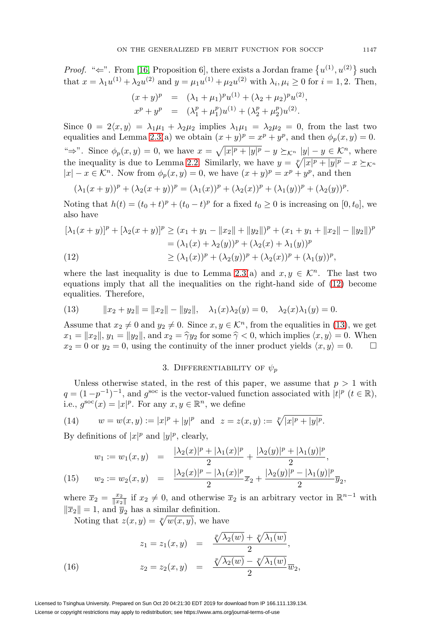*Proof.* " $\Leftarrow$ ". From [\[16,](#page-27-16) Proposition 6], there exists a Jordan frame  $\{u^{(1)}, u^{(2)}\}$  such that  $x = \lambda_1 u^{(1)} + \lambda_2 u^{(2)}$  and  $y = \mu_1 u^{(1)} + \mu_2 u^{(2)}$  with  $\lambda_i, \mu_i \ge 0$  for  $i = 1, 2$ . Then,

$$
(x + y)^p = (\lambda_1 + \mu_1)^p u^{(1)} + (\lambda_2 + \mu_2)^p u^{(2)},
$$
  
\n
$$
x^p + y^p = (\lambda_1^p + \mu_1^p) u^{(1)} + (\lambda_2^p + \mu_2^p) u^{(2)}.
$$

Since  $0 = 2\langle x, y \rangle = \lambda_1 \mu_1 + \lambda_2 \mu_2$  implies  $\lambda_1 \mu_1 = \lambda_2 \mu_2 = 0$ , from the last two equalities and Lemma [2.3\(](#page-3-0)a) we obtain  $(x + y)^p = x^p + y^p$ , and then  $\phi_p(x, y) = 0$ . " $\Rightarrow$ ". Since  $\phi_p(x, y) = 0$ , we have  $x = \sqrt{|x|^p + |y|^p} - y \succeq_{\mathcal{K}^n} |y| - y \in \mathcal{K}^n$ , where the inequality is due to Lemma [2.2.](#page-3-1) Similarly, we have  $y = \sqrt[p]{|x|^p + |y|^p} - x \succeq_{\mathcal{K}^n}$  $|x| - x \in \mathcal{K}^n$ . Now from  $\phi_p(x, y) = 0$ , we have  $(x + y)^p = x^p + y^p$ , and then

$$
(\lambda_1(x+y))^p + (\lambda_2(x+y))^p = (\lambda_1(x))^p + (\lambda_2(x))^p + (\lambda_1(y))^p + (\lambda_2(y))^p.
$$

Noting that  $h(t)=(t_0 + t)^p + (t_0 - t)^p$  for a fixed  $t_0 \geq 0$  is increasing on [0,  $t_0$ ], we also have

$$
[\lambda_1(x+y)]^p + [\lambda_2(x+y)]^p \ge (x_1 + y_1 - ||x_2|| + ||y_2||)^p + (x_1 + y_1 + ||x_2|| - ||y_2||)^p
$$
  
=  $(\lambda_1(x) + \lambda_2(y))^p + (\lambda_2(x) + \lambda_1(y))^p$   
(12)  

$$
\ge (\lambda_1(x))^p + (\lambda_2(y))^p + (\lambda_2(x))^p + (\lambda_1(y))^p,
$$

<span id="page-4-0"></span>where the last inequality is due to Lemma [2.3\(](#page-3-0)a) and  $x, y \in \mathcal{K}^n$ . The last two equations imply that all the inequalities on the right-hand side of [\(12\)](#page-4-0) become equalities. Therefore,

<span id="page-4-1"></span>(13) 
$$
||x_2 + y_2|| = ||x_2|| - ||y_2||, \quad \lambda_1(x)\lambda_2(y) = 0, \quad \lambda_2(x)\lambda_1(y) = 0.
$$

Assume that  $x_2 \neq 0$  and  $y_2 \neq 0$ . Since  $x, y \in \mathcal{K}^n$ , from the equalities in [\(13\)](#page-4-1), we get  $x_1 = ||x_2||$ ,  $y_1 = ||y_2||$ , and  $x_2 = \hat{\gamma}y_2$  for some  $\hat{\gamma} < 0$ , which implies  $\langle x, y \rangle = 0$ . When  $x_2 = 0$  or  $y_2 = 0$ , using the continuity of the inner product yields  $\langle x, y \rangle = 0$ .

# 3. DIFFERENTIABILITY OF  $\psi_p$

Unless otherwise stated, in the rest of this paper, we assume that  $p > 1$  with  $q = (1 - p^{-1})^{-1}$ , and  $g^{\text{soc}}$  is the vector-valued function associated with  $|t|^p$   $(t \in \mathbb{R})$ , i.e.,  $g^{\text{soc}}(x) = |x|^p$ . For any  $x, y \in \mathbb{R}^n$ , we define

(14) 
$$
w = w(x, y) := |x|^p + |y|^p
$$
 and  $z = z(x, y) := \sqrt[p]{|x|^p + |y|^p}$ .

By definitions of  $|x|^p$  and  $|y|^p$ , clearly,

<span id="page-4-3"></span>
$$
w_1 := w_1(x, y) = \frac{|\lambda_2(x)|^p + |\lambda_1(x)|^p}{2} + \frac{|\lambda_2(y)|^p + |\lambda_1(y)|^p}{2},
$$
  
(15) 
$$
w_2 := w_2(x, y) = \frac{|\lambda_2(x)|^p - |\lambda_1(x)|^p}{2} \overline{x}_2 + \frac{|\lambda_2(y)|^p - |\lambda_1(y)|^p}{2} \overline{y}_2,
$$

where  $\overline{x}_2 = \frac{x_2}{\|x_2\|}$  if  $x_2 \neq 0$ , and otherwise  $\overline{x}_2$  is an arbitrary vector in  $\mathbb{R}^{n-1}$  with  $\|\overline{x}_2\|=1$ , and  $\overline{y}_2$  has a similar definition.

<span id="page-4-2"></span>Noting that  $z(x, y) = \sqrt[p]{w(x, y)}$ , we have

(16) 
$$
z_1 = z_1(x, y) = \frac{\sqrt[p]{\lambda_2(w)} + \sqrt[p]{\lambda_1(w)}}{2},
$$

$$
z_2 = z_2(x, y) = \frac{\sqrt[p]{\lambda_2(w)} - \sqrt[p]{\lambda_1(w)}}{2} \overline{w}_2,
$$

Licensed to Tsinghua University. Prepared on Sun Oct 20 04:21:30 EDT 2019 for download from IP 166.111.139.134. License or copyright restrictions may apply to redistribution; see https://www.ams.org/journal-terms-of-use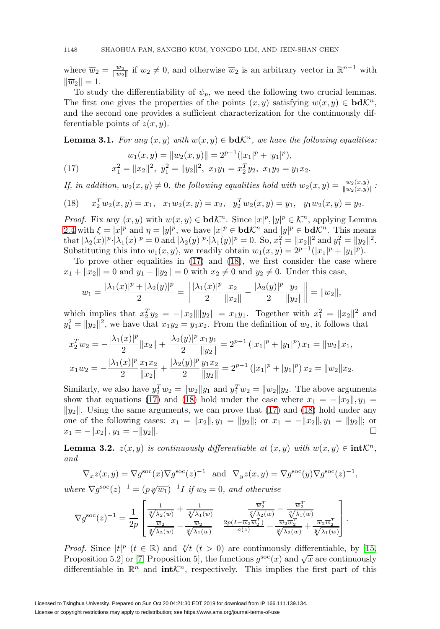where  $\overline{w}_2 = \frac{w_2}{\|w_2\|}$  if  $w_2 \neq 0$ , and otherwise  $\overline{w}_2$  is an arbitrary vector in  $\mathbb{R}^{n-1}$  with  $\|\overline{w}_2\|=1.$ 

To study the differentiability of  $\psi_p$ , we need the following two crucial lemmas. The first one gives the properties of the points  $(x, y)$  satisfying  $w(x, y) \in \mathbf{bdK}^n$ , and the second one provides a sufficient characterization for the continuously differentiable points of  $z(x, y)$ .

<span id="page-5-3"></span>**Lemma 3.1.** For any  $(x, y)$  with  $w(x, y) \in \mathbf{bd } \mathcal{K}^n$ , we have the following equalities:

<span id="page-5-0"></span>(17) 
$$
w_1(x, y) = ||w_2(x, y)|| = 2^{p-1} (|x_1|^p + |y_1|^p),
$$

$$
x_1^2 = ||x_2||^2, \ y_1^2 = ||y_2||^2, \ x_1y_1 = x_2^T y_2, \ x_1y_2 = y_1x_2.
$$

If, in addition,  $w_2(x, y) \neq 0$ , the following equalities hold with  $\overline{w}_2(x, y) = \frac{w_2(x, y)}{\|w_2(x, y)\|}$ :

<span id="page-5-1"></span>(18) 
$$
x_2^T \overline{w}_2(x, y) = x_1
$$
,  $x_1 \overline{w}_2(x, y) = x_2$ ,  $y_2^T \overline{w}_2(x, y) = y_1$ ,  $y_1 \overline{w}_2(x, y) = y_2$ .

*Proof.* Fix any  $(x, y)$  with  $w(x, y) \in \mathbf{bd} \mathcal{K}^n$ . Since  $|x|^p, |y|^p \in \mathcal{K}^n$ , applying Lemma [2.4](#page-3-2) with  $\xi = |x|^p$  and  $\eta = |y|^p$ , we have  $|x|^p \in \mathbf{bd}\mathcal{K}^n$  and  $|y|^p \in \mathbf{bd}\mathcal{K}^n$ . This means that  $|\lambda_2(x)|^p \cdot |\lambda_1(x)|^p = 0$  and  $|\lambda_2(y)|^p \cdot |\lambda_1(y)|^p = 0$ . So,  $x_1^2 = ||x_2||^2$  and  $y_1^2 = ||y_2||^2$ . Substituting this into  $w_1(x, y)$ , we readily obtain  $w_1(x, y) = 2^{p-1}(|x_1|^p + |y_1|^p)$ .

To prove other equalities in [\(17\)](#page-5-0) and [\(18\)](#page-5-1), we first consider the case where  $x_1 + ||x_2|| = 0$  and  $y_1 - ||y_2|| = 0$  with  $x_2 \neq 0$  and  $y_2 \neq 0$ . Under this case,

$$
w_1 = \frac{|\lambda_1(x)|^p + |\lambda_2(y)|^p}{2} = \left\| \frac{|\lambda_1(x)|^p}{2} \frac{x_2}{\|x_2\|} - \frac{|\lambda_2(y)|^p}{2} \frac{y_2}{\|y_2\|} \right\| = \|w_2\|,
$$

which implies that  $x_2^T y_2 = -||x_2|| ||y_2|| = x_1 y_1$ . Together with  $x_1^2 = ||x_2||^2$  and  $y_1^2 = ||y_2||^2$ , we have that  $x_1y_2 = y_1x_2$ . From the definition of  $w_2$ , it follows that

$$
x_2^T w_2 = -\frac{|\lambda_1(x)|^p}{2} \|x_2\| + \frac{|\lambda_2(y)|^p}{2} \frac{x_1 y_1}{\|y_2\|} = 2^{p-1} (|x_1|^p + |y_1|^p) x_1 = \|w_2\|x_1,
$$
  

$$
x_1 w_2 = -\frac{|\lambda_1(x)|^p}{2} \frac{x_1 x_2}{\|x_2\|} + \frac{|\lambda_2(y)|^p}{2} \frac{y_1 x_2}{\|y_2\|} = 2^{p-1} (|x_1|^p + |y_1|^p) x_2 = \|w_2\|x_2.
$$

Similarly, we also have  $y_2^T w_2 = ||w_2||y_1$  and  $y_1^T w_2 = ||w_2||y_2$ . The above arguments show that equations [\(17\)](#page-5-0) and [\(18\)](#page-5-1) hold under the case where  $x_1 = -||x_2||$ ,  $y_1 =$  $\|y_2\|$ . Using the same arguments, we can prove that [\(17\)](#page-5-0) and [\(18\)](#page-5-1) hold under any one of the following cases:  $x_1 = ||x_2||$ ,  $y_1 = ||y_2||$ ; or  $x_1 = -||x_2||$ ,  $y_1 = ||y_2||$ ; or  $x_1 = -||x_2||, y_1 = -||y_2||.$ 

<span id="page-5-2"></span>**Lemma 3.2.**  $z(x, y)$  is continuously differentiable at  $(x, y)$  with  $w(x, y) \in \text{intK}^n$ . and

$$
\nabla_x z(x, y) = \nabla g^{\text{soc}}(x) \nabla g^{\text{soc}}(z)^{-1} \text{ and } \nabla_y z(x, y) = \nabla g^{\text{soc}}(y) \nabla g^{\text{soc}}(z)^{-1},
$$

where  $\nabla g^{\rm soc}(z)^{-1} = (p \sqrt[q]{w_1})^{-1} I$  if  $w_2 = 0$ , and otherwise

$$
\nabla g^{\textrm{soc}}(z)^{-1} = \frac{1}{2p} \begin{bmatrix} \frac{1}{\sqrt[q]{\lambda_2(w)}} + \frac{1}{\sqrt[q]{\lambda_1(w)}} & \frac{\overline{w}_2^T}{\sqrt[q]{\lambda_2(w)}} - \frac{\overline{w}_2^T}{\sqrt[q]{\lambda_1(w)}} \\ \frac{\overline{w}_2}{\sqrt[q]{\lambda_2(w)}} - \frac{\overline{w}_2}{\sqrt[q]{\lambda_1(w)}} & \frac{2p(I - \overline{w}_2 \overline{w}_2^T)}{a(z)} + \frac{\overline{w}_2 \overline{w}_2^T}{\sqrt[q]{\lambda_2(w)}} + \frac{\overline{w}_2 \overline{w}_2^T}{\sqrt[q]{\lambda_1(w)}} \end{bmatrix}.
$$

*Proof.* Since  $|t|^p$   $(t \in \mathbb{R})$  and  $\sqrt[p]{t}$   $(t > 0)$  are continuously differentiable, by [\[15,](#page-27-7) Proposition 5.2] or [\[7,](#page-26-9) Proposition 5], the functions  $g^{\rm soc}(x)$  and  $\sqrt{x}$  are continuously differentiable in  $\mathbb{R}^n$  and **int** $\mathcal{K}^n$ , respectively. This implies the first part of this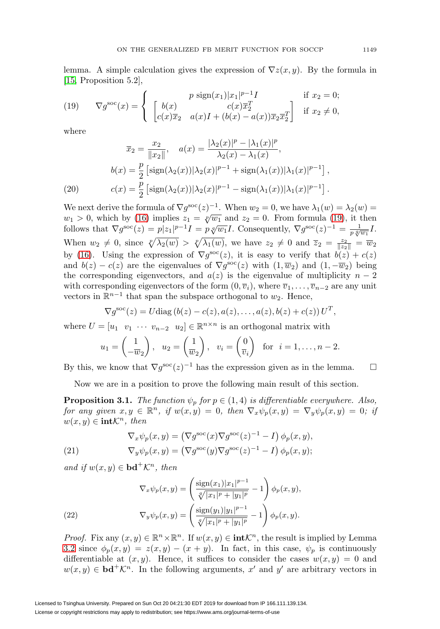lemma. A simple calculation gives the expression of  $\nabla z(x, y)$ . By the formula in [\[15,](#page-27-7) Proposition 5.2],

<span id="page-6-0"></span>(19) 
$$
\nabla g^{\text{soc}}(x) = \begin{cases} p \text{ sign}(x_1)|x_1|^{p-1}I & \text{if } x_2 = 0; \\ \begin{bmatrix} b(x) & c(x)\overline{x}_2^T \\ c(x)\overline{x}_2 & a(x)I + (b(x) - a(x))\overline{x}_2\overline{x}_2^T \end{bmatrix} & \text{if } x_2 \neq 0, \end{cases}
$$

where

$$
\overline{x}_2 = \frac{x_2}{\|x_2\|}, \quad a(x) = \frac{|\lambda_2(x)|^p - |\lambda_1(x)|^p}{\lambda_2(x) - \lambda_1(x)},
$$

$$
b(x) = \frac{p}{2} \left[ \text{sign}(\lambda_2(x)) |\lambda_2(x)|^{p-1} + \text{sign}(\lambda_1(x)) |\lambda_1(x)|^{p-1} \right],
$$

$$
c(x) = \frac{p}{2} \left[ \text{sign}(\lambda_2(x)) |\lambda_2(x)|^{p-1} - \text{sign}(\lambda_1(x)) |\lambda_1(x)|^{p-1} \right].
$$

<span id="page-6-2"></span>We next derive the formula of  $\nabla g^{\text{soc}}(z)^{-1}$ . When  $w_2 = 0$ , we have  $\lambda_1(w) = \lambda_2(w)$  $w_1 > 0$ , which by [\(16\)](#page-4-2) implies  $z_1 = \sqrt[p]{w_1}$  and  $z_2 = 0$ . From formula [\(19\)](#page-6-0), it then follows that  $\nabla g^{\text{soc}}(z) = p|z_1|^{p-1}I = p\sqrt[n]{w_1}I$ . Consequently,  $\nabla g^{\text{soc}}(z)^{-1} = \frac{1}{p\sqrt[n]{w_1}}I$ . When  $w_2 \neq 0$ , since  $\sqrt[p]{\lambda_2(w)} > \sqrt[p]{\lambda_1(w)}$ , we have  $z_2 \neq 0$  and  $\overline{z}_2 = \frac{z_2}{\|z_2\|} = \overline{w}_2$ by [\(16\)](#page-4-2). Using the expression of  $\nabla g^{\rm soc}(z)$ , it is easy to verify that  $b(z) + c(z)$ and  $b(z) - c(z)$  are the eigenvalues of  $\nabla g^{\rm soc}(z)$  with  $(1, \overline{w}_2)$  and  $(1, -\overline{w}_2)$  being the corresponding eigenvectors, and  $a(z)$  is the eigenvalue of multiplicity  $n-2$ with corresponding eigenvectors of the form  $(0, \overline{v}_i)$ , where  $\overline{v}_1, \ldots, \overline{v}_{n-2}$  are any unit vectors in  $\mathbb{R}^{n-1}$  that span the subspace orthogonal to  $w_2$ . Hence,

$$
\nabla g^{\rm soc}(z) = U \text{diag}(b(z) - c(z), a(z), \dots, a(z), b(z) + c(z)) U^T,
$$

where  $U = [u_1 \quad v_1 \quad \cdots \quad v_{n-2} \quad u_2] \in \mathbb{R}^{n \times n}$  is an orthogonal matrix with

$$
u_1 = \begin{pmatrix} 1 \\ -\overline{w}_2 \end{pmatrix}
$$
,  $u_2 = \begin{pmatrix} 1 \\ \overline{w}_2 \end{pmatrix}$ ,  $v_i = \begin{pmatrix} 0 \\ \overline{v}_i \end{pmatrix}$  for  $i = 1, ..., n-2$ .

By this, we know that  $\nabla g^{\text{soc}}(z)^{-1}$  has the expression given as in the lemma.  $\Box$ 

Now we are in a position to prove the following main result of this section.

<span id="page-6-3"></span>**Proposition 3.1.** The function  $\psi_p$  for  $p \in (1, 4)$  is differentiable everywhere. Also, for any given  $x, y \in \mathbb{R}^n$ , if  $w(x, y) = 0$ , then  $\nabla_x \psi_p(x, y) = \nabla_y \psi_p(x, y) = 0$ ; if  $w(x, y) \in \text{int} \mathcal{K}^n$ , then

<span id="page-6-4"></span>(21) 
$$
\nabla_x \psi_p(x, y) = (\nabla g^{\text{soc}}(x) \nabla g^{\text{soc}}(z)^{-1} - I) \phi_p(x, y),
$$

$$
\nabla_y \psi_p(x, y) = (\nabla g^{\text{soc}}(y) \nabla g^{\text{soc}}(z)^{-1} - I) \phi_p(x, y);
$$

and if  $w(x, y) \in \mathbf{bd}^+\mathcal{K}^n$ , then

(22) 
$$
\nabla_x \psi_p(x, y) = \left(\frac{\text{sign}(x_1)|x_1|^{p-1}}{\sqrt[p]{|x_1|^p + |y_1|^p}} - 1\right) \phi_p(x, y),
$$

$$
\nabla_y \psi_p(x, y) = \left(\frac{\text{sign}(y_1)|y_1|^{p-1}}{\sqrt[p]{|x_1|^p + |y_1|^p}} - 1\right) \phi_p(x, y).
$$

<span id="page-6-1"></span>*Proof.* Fix any  $(x, y) \in \mathbb{R}^n \times \mathbb{R}^n$ . If  $w(x, y) \in \text{int} \mathcal{K}^n$ , the result is implied by Lemma [3.2](#page-5-2) since  $\phi_p(x,y) = z(x,y) - (x+y)$ . In fact, in this case,  $\psi_p$  is continuously differentiable at  $(x, y)$ . Hence, it suffices to consider the cases  $w(x, y) = 0$  and  $w(x, y) \in \mathbf{bd}^+\mathcal{K}^n$ . In the following arguments, x' and y' are arbitrary vectors in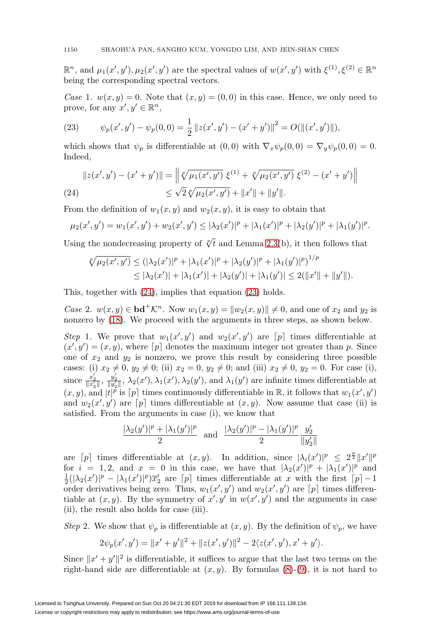$\mathbb{R}^n$ , and  $\mu_1(x', y'), \mu_2(x', y')$  are the spectral values of  $w(x', y')$  with  $\xi^{(1)}, \xi^{(2)} \in \mathbb{R}^n$ being the corresponding spectral vectors.

Case 1.  $w(x, y) = 0$ . Note that  $(x, y) = (0, 0)$  in this case. Hence, we only need to prove, for any  $x', y' \in \mathbb{R}^n$ ,

<span id="page-7-1"></span>(23) 
$$
\psi_p(x', y') - \psi_p(0, 0) = \frac{1}{2} ||z(x', y') - (x' + y')||^2 = O(||(x', y')||),
$$

which shows that  $\psi_p$  is differentiable at  $(0,0)$  with  $\nabla_x \psi_p(0,0) = \nabla_y \psi_p(0,0) = 0$ . Indeed,

<span id="page-7-0"></span>
$$
||z(x', y') - (x' + y')|| = ||\sqrt[p]{\mu_1(x', y')} \xi^{(1)} + \sqrt[p]{\mu_2(x', y')} \xi^{(2)} - (x' + y')||
$$
  
(24)  

$$
\leq \sqrt{2} \sqrt[p]{\mu_2(x', y')} + ||x'|| + ||y'||.
$$

From the definition of  $w_1(x, y)$  and  $w_2(x, y)$ , it is easy to obtain that

$$
\mu_2(x',y') = w_1(x',y') + w_2(x',y') \leq |\lambda_2(x')|^p + |\lambda_1(x')|^p + |\lambda_2(y')|^p + |\lambda_1(y')|^p.
$$

Using the nondecreasing property of  $\sqrt[p]{t}$  and Lemma [2.3\(](#page-3-0)b), it then follows that

$$
\sqrt[p]{\mu_2(x',y')} \leq (|\lambda_2(x')|^p + |\lambda_1(x')|^p + |\lambda_2(y')|^p + |\lambda_1(y')|^p)^{1/p}
$$
  
\n
$$
\leq |\lambda_2(x')| + |\lambda_1(x')| + |\lambda_2(y')| + |\lambda_1(y')| \leq 2(||x'|| + ||y'||).
$$

This, together with [\(24\)](#page-7-0), implies that equation [\(23\)](#page-7-1) holds.

Case 2.  $w(x, y) \in \mathbf{bd}^+\mathcal{K}^n$ . Now  $w_1(x, y) = ||w_2(x, y)|| \neq 0$ , and one of  $x_2$  and  $y_2$  is nonzero by [\(18\)](#page-5-1). We proceed with the arguments in three steps, as shown below.

Step 1. We prove that  $w_1(x', y')$  and  $w_2(x', y')$  are  $[p]$  times differentiable at  $(x', y') = (x, y)$ , where  $[p]$  denotes the maximum integer not greater than p. Since one of  $x_2$  and  $y_2$  is nonzero, we prove this result by considering three possible cases: (i)  $x_2 \neq 0$ ,  $y_2 \neq 0$ ; (ii)  $x_2 = 0$ ,  $y_2 \neq 0$ ; and (iii)  $x_2 \neq 0$ ,  $y_2 = 0$ . For case (i), since  $\frac{x_2'}{\|x_2'\|}$ ,  $\frac{y_2'}{\|y_2'\|}$ ,  $\lambda_2(x'), \lambda_1(x'), \lambda_2(y')$ , and  $\lambda_1(y')$  are infinite times differentiable at  $(x, y)$ , and  $|t|^p$  is  $[p]$  times continuously differentiable in R, it follows that  $w_1(x', y')$ and  $w_2(x', y')$  are  $[p]$  times differentiable at  $(x, y)$ . Now assume that case (ii) is satisfied. From the arguments in case (i), we know that

$$
\frac{|\lambda_2(y')|^p + |\lambda_1(y')|^p}{2} \text{ and } \frac{|\lambda_2(y')|^p - |\lambda_1(y')|^p}{2} \frac{y_2'}{\|y_2'\|}
$$

are  $[p]$  times differentiable at  $(x, y)$ . In addition, since  $|\lambda_i(x')|^p \leq 2^{\frac{p}{2}} \|x'\|^p$ for  $i = 1, 2$ , and  $x = 0$  in this case, we have that  $|\lambda_2(x')|^p + |\lambda_1(x')|^p$  and  $\frac{1}{2}(|\lambda_2(x')|^p - |\lambda_1(x')|^p)\overline{x}_2'$  are  $[p]$  times differentiable at x with the first  $[p]-1$ order derivatives being zero. Thus,  $w_1(x', y')$  and  $w_2(x', y')$  are  $[p]$  times differentiable at  $(x, y)$ . By the symmetry of  $x', y'$  in  $w(x', y')$  and the arguments in case (ii), the result also holds for case (iii).

Step 2. We show that  $\psi_p$  is differentiable at  $(x, y)$ . By the definition of  $\psi_p$ , we have

$$
2\psi_p(x',y') = ||x' + y'||^2 + ||z(x',y')||^2 - 2\langle z(x',y'), x' + y' \rangle.
$$

Since  $||x' + y'||^2$  is differentiable, it suffices to argue that the last two terms on the right-hand side are differentiable at  $(x, y)$ . By formulas  $(8)-(9)$  $(8)-(9)$  $(8)-(9)$ , it is not hard to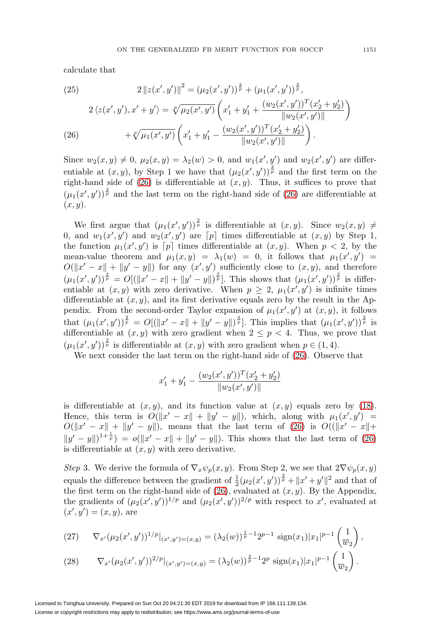calculate that

(25) 
$$
2 \|z(x', y')\|^2 = (\mu_2(x', y'))^{\frac{2}{p}} + (\mu_1(x', y'))^{\frac{2}{p}},
$$

$$
2 \langle z(x', y'), x' + y' \rangle = \sqrt[p]{\mu_2(x', y')} \left( x_1' + y_1' + \frac{(w_2(x', y'))^T (x_2' + y_2')}{\|w_2(x', y')\|}\right)
$$

$$
+ \sqrt[p]{\mu_1(x', y')} \left( x_1' + y_1' - \frac{(w_2(x', y'))^T (x_2' + y_2')}{\|w_2(x', y')\|}\right).
$$

<span id="page-8-0"></span>Since  $w_2(x, y) \neq 0$ ,  $\mu_2(x, y) = \lambda_2(w) > 0$ , and  $w_1(x', y')$  and  $w_2(x', y')$  are differentiable at  $(x, y)$ , by Step 1 we have that  $(\mu_2(x', y'))^{\frac{2}{p}}$  and the first term on the right-hand side of [\(26\)](#page-8-0) is differentiable at  $(x, y)$ . Thus, it suffices to prove that  $(\mu_1(x', y'))^{\frac{2}{p}}$  and the last term on the right-hand side of [\(26\)](#page-8-0) are differentiable at  $(x, y)$ .

We first argue that  $(\mu_1(x', y'))^{\frac{2}{p}}$  is differentiable at  $(x, y)$ . Since  $w_2(x, y) \neq$ 0, and  $w_1(x', y')$  and  $w_2(x', y')$  are  $[p]$  times differentiable at  $(x, y)$  by Step 1, the function  $\mu_1(x', y')$  is  $[p]$  times differentiable at  $(x, y)$ . When  $p < 2$ , by the mean-value theorem and  $\mu_1(x,y) = \lambda_1(w) = 0$ , it follows that  $\mu_1(x',y') =$  $O(||x'-x|| + ||y'-y||)$  for any  $(x', y')$  sufficiently close to  $(x, y)$ , and therefore  $(\mu_1(x',y'))^{\frac{2}{p}} = O[(\|x'-x\|+\|y'-y\|)^{\frac{2}{p}}]$ . This shows that  $(\mu_1(x',y'))^{\frac{2}{p}}$  is differentiable at  $(x, y)$  with zero derivative. When  $p \geq 2$ ,  $\mu_1(x', y')$  is infinite times differentiable at  $(x, y)$ , and its first derivative equals zero by the result in the Appendix. From the second-order Taylor expansion of  $\mu_1(x', y')$  at  $(x, y)$ , it follows that  $(\mu_1(x', y'))^{\frac{2}{p}} = O[(\|x' - x\| + \|y' - y\|)^{\frac{4}{p}}]$ . This implies that  $(\mu_1(x', y'))^{\frac{2}{p}}$  is differentiable at  $(x, y)$  with zero gradient when  $2 \leq p < 4$ . Thus, we prove that  $(\mu_1(x', y'))^{\frac{2}{p}}$  is differentiable at  $(x, y)$  with zero gradient when  $p \in (1, 4)$ .

We next consider the last term on the right-hand side of [\(26\)](#page-8-0). Observe that

$$
x'_1 + y'_1 - \frac{(w_2(x', y'))^T (x'_2 + y'_2)}{\|w_2(x', y')\|}
$$

is differentiable at  $(x, y)$ , and its function value at  $(x, y)$  equals zero by [\(18\)](#page-5-1). Hence, this term is  $O(||x' - x|| + ||y' - y||)$ , which, along with  $\mu_1(x', y') =$  $O(||x' - x|| + ||y' - y||)$ , means that the last term of [\(26\)](#page-8-0) is  $O(||x' - x|| +$  $||y'-y||^{1+\frac{1}{p}} = o(||x'-x|| + ||y'-y||)$ . This shows that the last term of [\(26\)](#page-8-0) is differentiable at  $(x, y)$  with zero derivative.

Step 3. We derive the formula of  $\nabla_x \psi_p(x, y)$ . From Step 2, we see that  $2\nabla \psi_p(x, y)$ equals the difference between the gradient of  $\frac{1}{2}(\mu_2(x', y'))^{\frac{2}{p}} + ||x' + y'||^2$  and that of the first term on the right-hand side of [\(26\)](#page-8-0), evaluated at  $(x, y)$ . By the Appendix, the gradients of  $(\mu_2(x', y'))^{1/p}$  and  $(\mu_2(x', y'))^{2/p}$  with respect to x', evaluated at  $(x', y') = (x, y),$  are

<span id="page-8-1"></span>(27) 
$$
\nabla_{x'}(\mu_2(x',y'))^{1/p}|_{(x',y')=(x,y)}=(\lambda_2(w))^\frac{1}{p}-1}2^{p-1}\operatorname{sign}(x_1)|x_1|^{p-1}\left(\frac{1}{w_2}\right),
$$

<span id="page-8-2"></span>(28) 
$$
\nabla_{x'}(\mu_2(x',y'))^{2/p}|_{(x',y')=(x,y)} = (\lambda_2(w))^{\frac{2}{p}-1}2^p \operatorname{sign}(x_1)|x_1|^{p-1}\left(\frac{1}{w_2}\right).
$$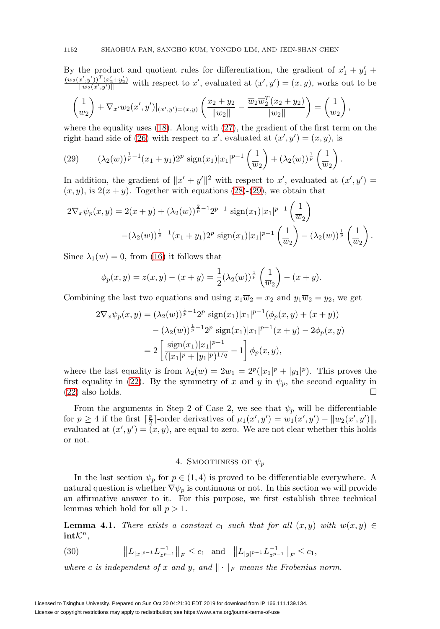By the product and quotient rules for differentiation, the gradient of  $x'_1 + y'_1 +$  $(w_2(x',y'))^T(x'_2+y'_2)$  $\frac{(x,y')-(x_2+y_2)}{||w_2(x',y')||}$  with respect to x', evaluated at  $(x', y')=(x, y)$ , works out to be

$$
\left(\frac{1}{w_2}\right) + \nabla_{x'} w_2(x',y')|_{(x',y')=(x,y)} \left(\frac{x_2+y_2}{\|w_2\|} - \frac{\overline{w_2}\overline{w_2}^T(x_2+y_2)}{\|w_2\|}\right) = \left(\frac{1}{w_2}\right),
$$

where the equality uses  $(18)$ . Along with  $(27)$ , the gradient of the first term on the right-hand side of [\(26\)](#page-8-0) with respect to x', evaluated at  $(x', y') = (x, y)$ , is

<span id="page-9-0"></span>(29) 
$$
(\lambda_2(w))^{\frac{1}{p}-1}(x_1+y_1)2^p \operatorname{sign}(x_1)|x_1|^{p-1}\left(\frac{1}{w_2}\right)+(\lambda_2(w))^{\frac{1}{p}}\left(\frac{1}{w_2}\right).
$$

In addition, the gradient of  $||x' + y'||^2$  with respect to x', evaluated at  $(x', y') =$  $(x, y)$ , is  $2(x + y)$ . Together with equations [\(28\)](#page-8-2)-[\(29\)](#page-9-0), we obtain that

$$
2\nabla_x \psi_p(x, y) = 2(x + y) + (\lambda_2(w))^{\frac{2}{p}-1} 2^{p-1} \operatorname{sign}(x_1) |x_1|^{p-1} \left(\frac{1}{w_2}\right)
$$

$$
-(\lambda_2(w))^{\frac{1}{p}-1} (x_1 + y_1) 2^p \operatorname{sign}(x_1) |x_1|^{p-1} \left(\frac{1}{w_2}\right) - (\lambda_2(w))^{\frac{1}{p}} \left(\frac{1}{w_2}\right).
$$

Since  $\lambda_1(w) = 0$ , from [\(16\)](#page-4-2) it follows that

$$
\phi_p(x, y) = z(x, y) - (x + y) = \frac{1}{2} (\lambda_2(w))^{\frac{1}{p}} \left( \frac{1}{w_2} \right) - (x + y).
$$

Combining the last two equations and using  $x_1\overline{w}_2 = x_2$  and  $y_1\overline{w}_2 = y_2$ , we get

$$
2\nabla_x \psi_p(x, y) = (\lambda_2(w))^{\frac{1}{p}-1} 2^p \operatorname{sign}(x_1) |x_1|^{p-1} (\phi_p(x, y) + (x+y))
$$

$$
- (\lambda_2(w))^{\frac{1}{p}-1} 2^p \operatorname{sign}(x_1) |x_1|^{p-1} (x+y) - 2\phi_p(x, y)
$$

$$
= 2 \left[ \frac{\operatorname{sign}(x_1) |x_1|^{p-1}}{(|x_1|^p + |y_1|^p)^{1/q}} - 1 \right] \phi_p(x, y),
$$

where the last equality is from  $\lambda_2(w) = 2w_1 = 2^p(|x_1|^p + |y_1|^p)$ . This proves the first equality in [\(22\)](#page-6-1). By the symmetry of x and y in  $\psi_p$ , the second equality in  $(22)$  also holds.  $\Box$ 

From the arguments in Step 2 of Case 2, we see that  $\psi_p$  will be differentiable for  $p \ge 4$  if the first  $\lceil \frac{p}{2} \rceil$ -order derivatives of  $\mu_1(x', y') = w_1(x', y') - ||w_2(x', y')||$ , evaluated at  $(x', y') = (x, y)$ , are equal to zero. We are not clear whether this holds or not.

# 4. SMOOTHNESS OF  $\psi_p$

In the last section  $\psi_p$  for  $p \in (1, 4)$  is proved to be differentiable everywhere. A natural question is whether  $\nabla \psi_p$  is continuous or not. In this section we will provide an affirmative answer to it. For this purpose, we first establish three technical lemmas which hold for all  $p > 1$ .

<span id="page-9-1"></span>**Lemma 4.1.** There exists a constant c<sub>1</sub> such that for all  $(x, y)$  with  $w(x, y) \in$  $int\mathcal{K}^n$ ,

(30) 
$$
\|L_{|x|^{p-1}}L_{z^{p-1}}^{-1}\|_F\leq c_1 \text{ and } \|L_{|y|^{p-1}}L_{z^{p-1}}^{-1}\|_F\leq c_1,
$$

where c is independent of x and y, and  $\|\cdot\|_F$  means the Frobenius norm.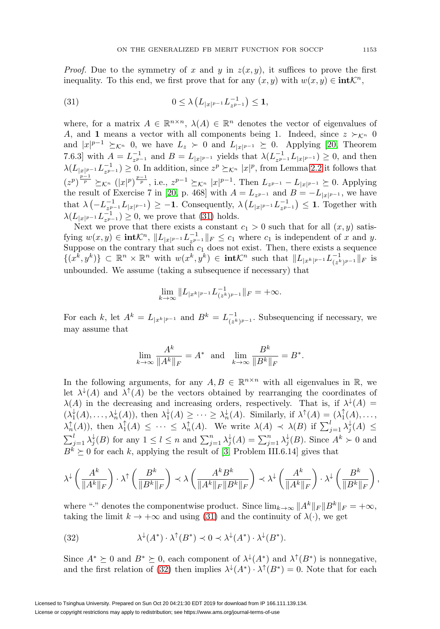*Proof.* Due to the symmetry of x and y in  $z(x, y)$ , it suffices to prove the first inequality. To this end, we first prove that for any  $(x, y)$  with  $w(x, y) \in \text{int} \mathcal{K}^n$ ,

<span id="page-10-0"></span>(31) 
$$
0 \leq \lambda \left( L_{|x|^{p-1}} L_{z^{p-1}}^{-1} \right) \leq 1,
$$

where, for a matrix  $A \in \mathbb{R}^{n \times n}$ ,  $\lambda(A) \in \mathbb{R}^n$  denotes the vector of eigenvalues of A, and **1** means a vector with all components being 1. Indeed, since  $z \succ_{\mathcal{K}^n} 0$ and  $|x|^{p-1} \succeq_{\mathcal{K}^n} 0$ , we have  $L_z \succ 0$  and  $L_{|x|^{p-1}} \succeq 0$ . Applying [\[20,](#page-27-17) Theorem 7.6.3] with  $A = L_{z^{p-1}}^{-1}$  and  $B = L_{|x|^{p-1}}$  yields that  $\lambda(L_{z^{p-1}}^{-1}L_{|x|^{p-1}}) \geq 0$ , and then  $\lambda(L_{|x|^{p-1}}L_{z^{p-1}}^{-1}) \geq 0$ . In addition, since  $z^p \succeq_{\mathcal{K}^n} |x|^p$ , from Lemma [2.2](#page-3-1) it follows that  $(z^p)^{\frac{p-1}{p}} \succeq_{\mathcal{K}^n} (|x|^p)^{\frac{p-1}{p}},$  i.e.,  $z^{p-1} \succeq_{\mathcal{K}^n} |x|^{p-1}$ . Then  $L_{z^{p-1}} - L_{|x|^{p-1}} \succeq 0$ . Applying the result of Exercise 7 in [\[20,](#page-27-17) p. 468] with  $A = L_{z^{p-1}}$  and  $B = -L_{|x|^{p-1}}$ , we have that  $\lambda \left( -L_{z^{p-1}}^{-1} L_{|x|^{p-1}} \right) \geq -1$ . Consequently,  $\lambda \left( L_{|x|^{p-1}} L_{z^{p-1}}^{-1} \right) \leq 1$ . Together with  $\lambda(L_{|x|^{p-1}}L_{z^{p-1}}^{-1}) \geq 0$ , we prove that [\(31\)](#page-10-0) holds.

Next we prove that there exists a constant  $c_1 > 0$  such that for all  $(x, y)$  satisfying  $w(x, y) \in \text{int} \mathcal{K}^n$ ,  $||L_{|x|^{p-1}} L_{z^{p-1}}^{-1}||_F \leq c_1$  where  $c_1$  is independent of x and y. Suppose on the contrary that such  $c_1$  does not exist. Then, there exists a sequence  $\{(x^k, y^k)\}\subset \mathbb{R}^n \times \mathbb{R}^n$  with  $w(x^k, y^k) \in \text{int} \mathcal{K}^n$  such that  $||L_{|x^k|^{p-1}} L_{(z^k)^{p-1}}^{-1}||_F$  is unbounded. We assume (taking a subsequence if necessary) that

$$
\lim_{k \to \infty} \|L_{|x^k|^{p-1}} L_{(z^k)^{p-1}}^{-1}\|_F = +\infty.
$$

For each k, let  $A^k = L_{|x^k|^{p-1}}$  and  $B^k = L_{(z^k)^{p-1}}^{-1}$ . Subsequencing if necessary, we may assume that

$$
\lim_{k \to \infty} \frac{A^k}{\|A^k\|_F} = A^* \text{ and } \lim_{k \to \infty} \frac{B^k}{\|B^k\|_F} = B^*.
$$

In the following arguments, for any  $A, B \in \mathbb{R}^{n \times n}$  with all eigenvalues in R, we let  $\lambda^{\downarrow}(A)$  and  $\lambda^{\uparrow}(A)$  be the vectors obtained by rearranging the coordinates of  $\lambda(A)$  in the decreasing and increasing orders, respectively. That is, if  $\lambda^{\downarrow}(A)$  =  $(\lambda_1^{\downarrow}(A), \ldots, \lambda_n^{\downarrow}(A)),$  then  $\lambda_1^{\downarrow}(A) \geq \cdots \geq \lambda_n^{\downarrow}(A)$ . Similarly, if  $\lambda^{\uparrow}(A) = (\lambda_1^{\uparrow}(A), \ldots, \lambda_n^{\downarrow}(A))$  $\lambda_n^{\uparrow}(A)$ , then  $\lambda_1^{\uparrow}(A) \leq \cdots \leq \lambda_n^{\uparrow}(A)$ . We write  $\lambda(A) \prec \lambda(B)$  if  $\sum_{j=1}^{l} \lambda_j^{\downarrow}(A) \leq$  $\sum_{j=1}^l \lambda_j^{\downarrow}(B)$  for any  $1 \leq l \leq n$  and  $\sum_{j=1}^n \lambda_j^{\downarrow}(A) = \sum_{j=1}^n \lambda_j^{\downarrow}(B)$ . Since  $A^k \succ 0$  and  $B^k \succeq 0$  for each k, applying the result of [\[3,](#page-26-10) Problem III.6.14] gives that

$$
\lambda^\downarrow\left(\frac{A^k}{\|A^k\|_F}\right)\cdot\lambda^\uparrow\left(\frac{B^k}{\|B^k\|_F}\right)\prec\lambda\left(\frac{A^kB^k}{\|A^k\|_F\|B^k\|_F}\right)\prec\lambda^\downarrow\left(\frac{A^k}{\|A^k\|_F}\right)\cdot\lambda^\downarrow\left(\frac{B^k}{\|B^k\|_F}\right),
$$

where "<sup>\*</sup>" denotes the componentwise product. Since  $\lim_{k\to\infty} ||A^k||_F ||B^k||_F = +\infty$ , taking the limit  $k \to +\infty$  and using [\(31\)](#page-10-0) and the continuity of  $\lambda(\cdot)$ , we get

<span id="page-10-1"></span>(32) 
$$
\lambda^{\downarrow}(A^*) \cdot \lambda^{\uparrow}(B^*) \prec 0 \prec \lambda^{\downarrow}(A^*) \cdot \lambda^{\downarrow}(B^*).
$$

Since  $A^* \succeq 0$  and  $B^* \succeq 0$ , each component of  $\lambda^{\downarrow}(A^*)$  and  $\lambda^{\uparrow}(B^*)$  is nonnegative, and the first relation of [\(32\)](#page-10-1) then implies  $\lambda^{\downarrow}(A^*) \cdot \lambda^{\uparrow}(B^*)=0$ . Note that for each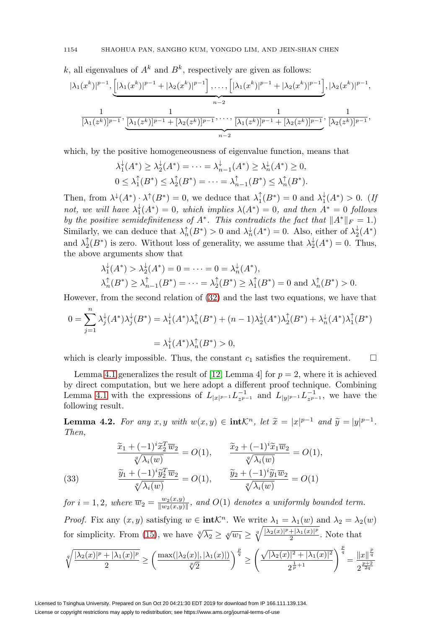k, all eigenvalues of  $A^k$  and  $B^k$ , respectively are given as follows:

$$
|\lambda_1(x^k)|^{p-1}, \underbrace{[|\lambda_1(x^k)|^{p-1} + |\lambda_2(x^k)|^{p-1}], \dots, [|\lambda_1(x^k)|^{p-1} + |\lambda_2(x^k)|^{p-1}]}_{n-2}, |\lambda_2(x^k)|^{p-1},
$$
  

$$
\frac{1}{[\lambda_1(z^k)]^{p-1}}, \underbrace{\frac{1}{[\lambda_1(z^k)]^{p-1} + [\lambda_2(z^k)]^{p-1}}, \dots, \frac{1}{[\lambda_1(z^k)]^{p-1} + [\lambda_2(z^k)]^{p-1}}, \frac{1}{[\lambda_2(z^k)]^{p-1}},
$$

which, by the positive homogeneousness of eigenvalue function, means that

$$
\lambda_1^{\downarrow}(A^*) \ge \lambda_2^{\downarrow}(A^*) = \dots = \lambda_{n-1}^{\downarrow}(A^*) \ge \lambda_n^{\downarrow}(A^*) \ge 0,
$$
  

$$
0 \le \lambda_1^{\uparrow}(B^*) \le \lambda_2^{\uparrow}(B^*) = \dots = \lambda_{n-1}^{\uparrow}(B^*) \le \lambda_n^{\uparrow}(B^*).
$$

Then, from  $\lambda^{\downarrow}(A^*) \cdot \lambda^{\uparrow}(B^*) = 0$ , we deduce that  $\lambda_1^{\uparrow}(B^*) = 0$  and  $\lambda_1^{\downarrow}(A^*) > 0$ . (If not, we will have  $\lambda_1^{\downarrow}(A^*)=0$ , which implies  $\lambda(A^*)=0$ , and then  $A^*=0$  follows by the positive semidefiniteness of  $A^*$ . This contradicts the fact that  $||A^*||_F = 1$ . Similarly, we can deduce that  $\lambda_n^{\uparrow}(B^*) > 0$  and  $\lambda_n^{\downarrow}(A^*) = 0$ . Also, either of  $\lambda_2^{\downarrow}(A^*)$ and  $\lambda_2^{\dagger}(B^*)$  is zero. Without loss of generality, we assume that  $\lambda_2^{\dagger}(A^*)=0$ . Thus, the above arguments show that

$$
\lambda_1^{\downarrow}(A^*) > \lambda_2^{\downarrow}(A^*) = 0 = \dots = 0 = \lambda_n^{\downarrow}(A^*),
$$
  

$$
\lambda_n^{\uparrow}(B^*) \ge \lambda_{n-1}^{\uparrow}(B^*) = \dots = \lambda_2^{\uparrow}(B^*) \ge \lambda_1^{\uparrow}(B^*) = 0 \text{ and } \lambda_n^{\uparrow}(B^*) > 0.
$$

However, from the second relation of [\(32\)](#page-10-1) and the last two equations, we have that

$$
0 = \sum_{j=1}^{n} \lambda_j^{\downarrow}(A^*)\lambda_j^{\downarrow}(B^*) = \lambda_1^{\downarrow}(A^*)\lambda_n^{\uparrow}(B^*) + (n-1)\lambda_2^{\downarrow}(A^*)\lambda_2^{\uparrow}(B^*) + \lambda_n^{\downarrow}(A^*)\lambda_1^{\uparrow}(B^*)
$$
  

$$
= \lambda_1^{\downarrow}(A^*)\lambda_n^{\uparrow}(B^*) > 0,
$$

which is clearly impossible. Thus, the constant  $c_1$  satisfies the requirement.  $\Box$ 

Lemma [4.1](#page-9-1) generalizes the result of [\[12,](#page-27-10) Lemma 4] for  $p = 2$ , where it is achieved by direct computation, but we here adopt a different proof technique. Combining Lemma [4.1](#page-9-1) with the expressions of  $L_{|x|^{p-1}} L_{z^{p-1}}^{-1}$  and  $L_{|y|^{p-1}} L_{z^{p-1}}^{-1}$ , we have the following result.

<span id="page-11-1"></span>**Lemma 4.2.** For any  $x, y$  with  $w(x, y) \in \text{int} \mathcal{K}^n$ , let  $\tilde{x} = |x|^{p-1}$  and  $\tilde{y} = |y|^{p-1}$ . Then,

<span id="page-11-0"></span>(33)  
\n
$$
\frac{\widetilde{x}_1 + (-1)^i \widetilde{x}_2^T \overline{w}_2}{\sqrt[n]{\lambda_i(w)}} = O(1), \qquad \frac{\widetilde{x}_2 + (-1)^i \widetilde{x}_1 \overline{w}_2}{\sqrt[n]{\lambda_i(w)}} = O(1),
$$
\n
$$
\frac{\widetilde{y}_1 + (-1)^i \widetilde{y}_2^T \overline{w}_2}{\sqrt[n]{\lambda_i(w)}} = O(1), \qquad \frac{\widetilde{y}_2 + (-1)^i \widetilde{y}_1 \overline{w}_2}{\sqrt[n]{\lambda_i(w)}} = O(1)
$$

for  $i = 1, 2$ , where  $\overline{w}_2 = \frac{w_2(x,y)}{\|w_2(x,y)\|}$ , and  $O(1)$  denotes a uniformly bounded term. Proof. Fix any  $(x, y)$  satisfying  $w \in \text{int} \mathcal{K}^n$ . We write  $\lambda_1 = \lambda_1(w)$  and  $\lambda_2 = \lambda_2(w)$ 

for simplicity. From [\(15\)](#page-4-3), we have  $\sqrt[q]{\lambda_2} \geq \sqrt[q]{w_1} \geq \sqrt[q]{\frac{|\lambda_2(x)|^p + |\lambda_1(x)|^p}{2}}$ . Note that

$$
\sqrt[q]{\frac{|\lambda_2(x)|^p + |\lambda_1(x)|^p}{2}} \ge \left(\frac{\max(|\lambda_2(x)|, |\lambda_1(x)|)}{\sqrt[p]{2}}\right)^{\frac{p}{q}} \ge \left(\frac{\sqrt{|\lambda_2(x)|^2 + |\lambda_1(x)|^2}}{2^{\frac{1}{p}+1}}\right)^{\frac{p}{q}} = \frac{||x||^{\frac{p}{q}}}{2^{\frac{p+2}{2q}}}
$$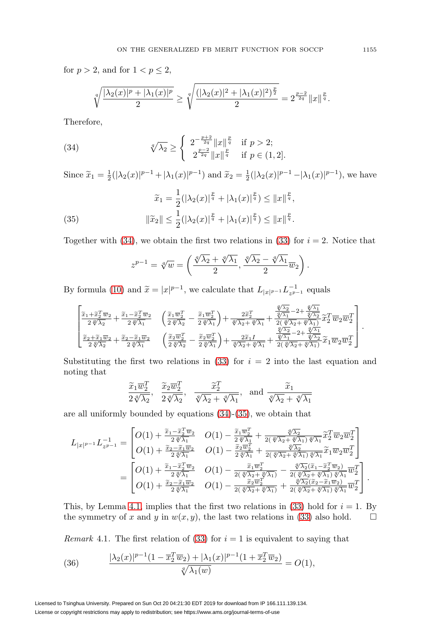for  $p > 2$ , and for  $1 < p \le 2$ ,

$$
\sqrt[q]{\frac{|\lambda_2(x)|^p + |\lambda_1(x)|^p}{2}} \ge \sqrt[q]{\frac{(|\lambda_2(x)|^2 + |\lambda_1(x)|^2)^{\frac{p}{2}}}{2}} = 2^{\frac{p-2}{2q}} \|x\|^{\frac{p}{q}}.
$$

Therefore,

<span id="page-12-0"></span>(34) 
$$
\sqrt[q]{\lambda_2} \ge \begin{cases} 2^{-\frac{p+2}{2q}} \|x\|_{q}^{\frac{p}{q}} & \text{if } p > 2; \\ 2^{\frac{p-2}{2q}} \|x\|_{q}^{\frac{p}{q}} & \text{if } p \in (1,2]. \end{cases}
$$

Since  $\tilde{x}_1 = \frac{1}{2}(|\lambda_2(x)|^{p-1} + |\lambda_1(x)|^{p-1})$  and  $\tilde{x}_2 = \frac{1}{2}(|\lambda_2(x)|^{p-1} - |\lambda_1(x)|^{p-1})$ , we have

<span id="page-12-1"></span>(35) 
$$
\widetilde{x}_1 = \frac{1}{2} (|\lambda_2(x)|^{\frac{p}{q}} + |\lambda_1(x)|^{\frac{p}{q}}) \le ||x||^{\frac{p}{q}},
$$

$$
\|\widetilde{x}_2\| \le \frac{1}{2} (|\lambda_2(x)|^{\frac{p}{q}} + |\lambda_1(x)|^{\frac{p}{q}}) \le ||x||^{\frac{p}{q}}.
$$

Together with [\(34\)](#page-12-0), we obtain the first two relations in [\(33\)](#page-11-0) for  $i = 2$ . Notice that

$$
z^{p-1} = \sqrt[q]{w} = \left(\frac{\sqrt[q]{\lambda_2} + \sqrt[q]{\lambda_1}}{2}, \frac{\sqrt[q]{\lambda_2} - \sqrt[q]{\lambda_1}}{2}\overline{w}_2\right)
$$

.

By formula (10) and 
$$
\widetilde{x} = |x|^{p-1}
$$
, we calculate that  $L_{|x|^{p-1}} L_{z^{p-1}}^{-1}$  equals  
\n
$$
\begin{bmatrix}\n\widetilde{x}_1 + \widetilde{x}_2^T \overline{w}_2 + \widetilde{x}_1 - \widetilde{x}_2^T \overline{w}_2 \\
\widetilde{z} \sqrt[4]{\lambda_1} + \widetilde{z} \sqrt[4]{\lambda_2} + \widetilde{z} \sqrt[4]{\lambda_1} \\
\widetilde{z} \sqrt[4]{\lambda_2} + \widetilde{z} \sqrt[4]{\lambda_1} + \widetilde{z} \sqrt[4]{\lambda_2} + \widetilde{z} \sqrt[4]{\lambda_1} + \widetilde{z} \sqrt[4]{\lambda_1} + \widetilde{z} \sqrt[4]{\lambda_2} + \widetilde{z} \sqrt[4]{\lambda_1} \\
\widetilde{z} \sqrt[4]{\lambda_2} + \widetilde{z} \sqrt[4]{\lambda_2} + \widetilde{z} \sqrt[4]{\lambda_1} \\
\widetilde{z} \sqrt[4]{\lambda_2} + \widetilde{z} \sqrt[4]{\lambda_1} + \widetilde{z} \sqrt[4]{\lambda_2} + \widetilde{z} \sqrt[4]{\lambda_1} + \widetilde{z} \sqrt[4]{\lambda_2} + \widetilde{z} \sqrt[4]{\lambda_1} \\
\widetilde{z} \sqrt[4]{\lambda_2} + \widetilde{z} \sqrt[4]{\lambda_2} + \widetilde{z} \sqrt[4]{\lambda_1} \\
\widetilde{z} \sqrt[4]{\lambda_2} + \widetilde{z} \sqrt[4]{\lambda_1} + \widetilde{z} \sqrt[4]{\lambda_1} + \widetilde{z} \sqrt[4]{\lambda_1} + \widetilde{z} \sqrt[4]{\lambda_1} + \widetilde{z} \sqrt[4]{\lambda_1} + \widetilde{z} \sqrt[4]{\lambda_1} + \widetilde{z} \sqrt[4]{\lambda_1} + \widetilde{z} \sqrt[4]{\lambda_1} + \widetilde{z} \sqrt[4]{\lambda_1} + \widetilde{z} \sqrt[4]{\lambda_1} + \widetilde{z} \sqrt[4]{\lambda_1} + \widetilde{z} \sqrt[4]{\lambda_1} + \widetilde{z} \sqrt[4]{\lambda_
$$

Substituting the first two relations in  $(33)$  for  $i = 2$  into the last equation and noting that

$$
\frac{\widetilde{x}_1 \overline{w}_2^T}{2\sqrt[d]{\lambda_2}}, \quad \frac{\widetilde{x}_2 \overline{w}_2^T}{2\sqrt[d]{\lambda_2}}, \quad \frac{\widetilde{x}_2^T}{\sqrt[d]{\lambda_2} + \sqrt[d]{\lambda_1}}, \quad \text{and} \quad \frac{\widetilde{x}_1}{\sqrt[d]{\lambda_2} + \sqrt[d]{\lambda_1}}
$$

are all uniformly bounded by equations [\(34\)](#page-12-0)-[\(35\)](#page-12-1), we obtain that

$$
2\sqrt[3]{\lambda_2} \quad 2\sqrt[3]{\lambda_2} \quad \sqrt[3]{\lambda_2} + \sqrt[3]{\lambda_1} \quad \sqrt[3]{\lambda_2} + \sqrt[3]{\lambda_1}
$$
\ne all uniformly bounded by equations (34)-(35), we obtain that\n
$$
L_{|x|^{p-1}} L_{z^{p-1}}^{-1} = \begin{bmatrix} O(1) + \frac{\tilde{x}_1 - \tilde{x}_2^T \overline{w}_2}{2\sqrt[3]{\lambda_1}} & O(1) - \frac{\tilde{x}_1 \overline{w}_2^T}{2\sqrt[3]{\lambda_1}} + \frac{\sqrt[3]{\lambda_2}}{2(\sqrt[3]{\lambda_2} + \sqrt[3]{\lambda_1})\sqrt[3]{\lambda_1}} \tilde{x}_2^T \overline{w}_2 \overline{w}_2^T \\ O(1) + \frac{\tilde{x}_2 - \tilde{x}_1 \overline{w}_2}{2\sqrt[3]{\lambda_1}} & O(1) - \frac{\tilde{x}_2 \overline{w}_2^T}{2\sqrt[3]{\lambda_1}} + \frac{\sqrt[3]{\lambda_2}}{2(\sqrt[3]{\lambda_2} + \sqrt[3]{\lambda_1})\sqrt[3]{\lambda_1}} \tilde{x}_1 \overline{w}_2 \overline{w}_2^T \end{bmatrix}
$$
\n
$$
= \begin{bmatrix} O(1) + \frac{\tilde{x}_1 - \tilde{x}_2^T \overline{w}_2}{2\sqrt[3]{\lambda_1}} & O(1) - \frac{\tilde{x}_1 \overline{w}_2^T}{2(\sqrt[3]{\lambda_2} + \sqrt[3]{\lambda_1})} - \frac{\sqrt[3]{\lambda_2}(\tilde{x}_1 - \tilde{x}_2^T \overline{w}_2)}{2(\sqrt[3]{\lambda_2} + \sqrt[3]{\lambda_1})\sqrt[3]{\lambda_1}} \overline{w}_2^T \end{bmatrix}
$$
\n
$$
= \begin{bmatrix} O(1) + \frac{\tilde{x}_1 - \tilde{x}_2^T \overline{w}_2}{2\sqrt[3]{\lambda_1}} & O(1) - \frac{\tilde{x}_1 \overline{w}_2^T}{2(\sqrt[3]{\lambda_2} + \sqrt[3]{\lambda_1})} + \frac{\sqrt[3]{\lambda_2}(\tilde{x}_1 - \tilde{x}_2^T \overline{w}_2)}{2(\sqrt[3]{\lambda_2}
$$

This, by Lemma [4.1,](#page-9-1) implies that the first two relations in [\(33\)](#page-11-0) hold for  $i = 1$ . By the symmetry of x and y in  $w(x, y)$ , the last two relations in [\(33\)](#page-11-0) also hold.  $\square$ 

Remark 4.1. The first relation of [\(33\)](#page-11-0) for  $i = 1$  is equivalent to saying that

<span id="page-12-2"></span>(36) 
$$
\frac{|\lambda_2(x)|^{p-1}(1-\overline{x}_2^T\overline{w}_2)+|\lambda_1(x)|^{p-1}(1+\overline{x}_2^T\overline{w}_2)}{\sqrt[q]{\lambda_1(w)}}=O(1),
$$

Licensed to Tsinghua University. Prepared on Sun Oct 20 04:21:30 EDT 2019 for download from IP 166.111.139.134. License or copyright restrictions may apply to redistribution; see https://www.ams.org/journal-terms-of-use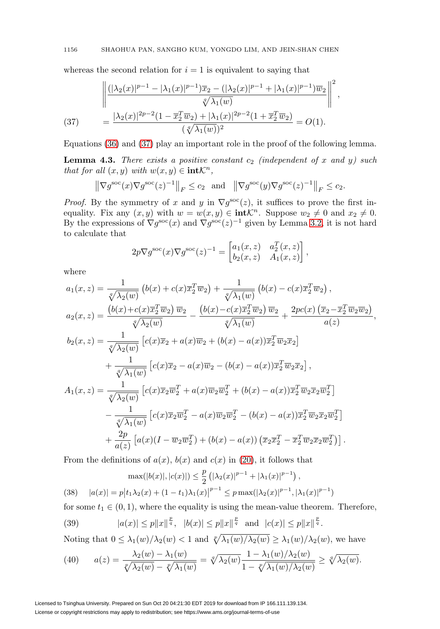whereas the second relation for  $i = 1$  is equivalent to saying that

$$
\left\| \frac{(|\lambda_2(x)|^{p-1} - |\lambda_1(x)|^{p-1})\overline{x}_2 - (|\lambda_2(x)|^{p-1} + |\lambda_1(x)|^{p-1})\overline{w}_2}{\sqrt[p]{\lambda_1(w)}} \right\|^2,
$$
\n
$$
(37) \qquad = \frac{|\lambda_2(x)|^{2p-2}(1 - \overline{x}_2^T\overline{w}_2) + |\lambda_1(x)|^{2p-2}(1 + \overline{x}_2^T\overline{w}_2)}{(\sqrt[p]{\lambda_1(w)})^2} = O(1).
$$

<span id="page-13-0"></span>Equations [\(36\)](#page-12-2) and [\(37\)](#page-13-0) play an important role in the proof of the following lemma.

<span id="page-13-4"></span>**Lemma 4.3.** There exists a positive constant  $c_2$  (independent of x and y) such that for all  $(x, y)$  with  $w(x, y) \in \text{int} \mathcal{K}^n$ ,

$$
\left\|\nabla g^{\text{soc}}(x)\nabla g^{\text{soc}}(z)^{-1}\right\|_{F} \le c_2 \quad \text{and} \quad \left\|\nabla g^{\text{soc}}(y)\nabla g^{\text{soc}}(z)^{-1}\right\|_{F} \le c_2.
$$

*Proof.* By the symmetry of x and y in  $\nabla g^{\text{soc}}(z)$ , it suffices to prove the first inequality. Fix any  $(x, y)$  with  $w = w(x, y) \in \text{intK}^n$ . Suppose  $w_2 \neq 0$  and  $x_2 \neq 0$ . By the expressions of  $\nabla g^{\rm soc}(x)$  and  $\nabla g^{\rm soc}(z)^{-1}$  given by Lemma [3.2,](#page-5-2) it is not hard to calculate that

$$
2p\nabla g^{\rm soc}(x)\nabla g^{\rm soc}(z)^{-1} = \begin{bmatrix} a_1(x,z) & a_2^T(x,z) \\ b_2(x,z) & A_1(x,z) \end{bmatrix},
$$

where

$$
a_1(x, z) = \frac{1}{\sqrt[4]{\lambda_2(w)}} (b(x) + c(x)\overline{x}_2^T \overline{w}_2) + \frac{1}{\sqrt[4]{\lambda_1(w)}} (b(x) - c(x)\overline{x}_2^T \overline{w}_2),
$$
  
\n
$$
a_2(x, z) = \frac{(b(x) + c(x)\overline{x}_2^T \overline{w}_2) \overline{w}_2}{\sqrt[4]{\lambda_2(w)}} - \frac{(b(x) - c(x)\overline{x}_2^T \overline{w}_2) \overline{w}_2}{\sqrt[4]{\lambda_1(w)}} + \frac{2pc(x) (\overline{x}_2 - \overline{x}_2^T \overline{w}_2 \overline{w}_2)}{a(z)},
$$
  
\n
$$
b_2(x, z) = \frac{1}{\sqrt[4]{\lambda_2(w)}} [c(x)\overline{x}_2 + a(x)\overline{w}_2 + (b(x) - a(x))\overline{x}_2^T \overline{w}_2 \overline{x}_2] + \frac{1}{\sqrt[4]{\lambda_1(w)}} [c(x)\overline{x}_2 - a(x)\overline{w}_2 - (b(x) - a(x))\overline{x}_2^T \overline{w}_2 \overline{x}_2],
$$
  
\n
$$
A_1(x, z) = \frac{1}{\sqrt[4]{\lambda_2(w)}} [c(x)\overline{x}_2 \overline{w}_2^T + a(x)\overline{w}_2 \overline{w}_2^T + (b(x) - a(x))\overline{x}_2^T \overline{w}_2 \overline{x}_2 \overline{w}_2^T] - \frac{1}{\sqrt[4]{\lambda_1(w)}} [c(x)\overline{x}_2 \overline{w}_2^T - a(x)\overline{w}_2 \overline{w}_2^T - (b(x) - a(x))\overline{x}_2^T \overline{w}_2 \overline{x}_2 \overline{w}_2^T] + \frac{2p}{a(z)} [a(x)(I - \overline{w}_2 \overline{w}_2^T) + (b(x) - a(x)) (\overline{x}_2 \overline{x}_2^T - \overline{x}_2^T \overline{w}_2 \overline{x}_2 \overline{w}_2^T)].
$$

From the definitions of  $a(x)$ ,  $b(x)$  and  $c(x)$  in [\(20\)](#page-6-2), it follows that

<span id="page-13-3"></span>
$$
\max(|b(x)|, |c(x)|) \le \frac{p}{2} \left( |\lambda_2(x)|^{p-1} + |\lambda_1(x)|^{p-1} \right),
$$
  
(38) 
$$
|a(x)| = p \left| t_1 \lambda_2(x) + (1 - t_1)\lambda_1(x) \right|^{p-1} \le p \max(|\lambda_2(x)|^{p-1}, |\lambda_1(x)|^{p-1})
$$

for some  $t_1 \in (0, 1)$ , where the equality is using the mean-value theorem. Therefore,

<span id="page-13-1"></span>(39) 
$$
|a(x)| \le p||x||^{\frac{p}{q}}, |b(x)| \le p||x||^{\frac{p}{q}}
$$
 and  $|c(x)| \le p||x||^{\frac{p}{q}}$ .

Noting that  $0 \leq \lambda_1(w)/\lambda_2(w) < 1$  and  $\sqrt[p]{\lambda_1(w)/\lambda_2(w)} \geq \lambda_1(w)/\lambda_2(w)$ , we have

<span id="page-13-2"></span>(40) 
$$
a(z) = \frac{\lambda_2(w) - \lambda_1(w)}{\sqrt[p]{\lambda_2(w)} - \sqrt[p]{\lambda_1(w)}} = \sqrt[q]{\lambda_2(w)} \frac{1 - \lambda_1(w)/\lambda_2(w)}{1 - \sqrt[p]{\lambda_1(w)/\lambda_2(w)}} \ge \sqrt[q]{\lambda_2(w)}.
$$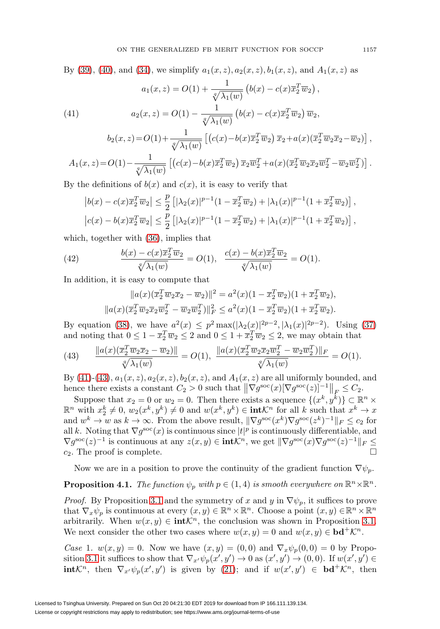By [\(39\)](#page-13-1), [\(40\)](#page-13-2), and [\(34\)](#page-12-0), we simplify  $a_1(x, z)$ ,  $a_2(x, z)$ ,  $b_1(x, z)$ , and  $A_1(x, z)$  as  $a_1(x, z) = O(1) + \frac{1}{\sqrt{1}}$  $\frac{1}{\sqrt[a]{\lambda_1(w)}}\left(b(x) - c(x)\overline{x}_2^T\overline{w}_2\right),$  $a_2(x, z) = O(1) - \frac{1}{\sqrt{1 - \frac{1}{x}}}$ (41)  $a_2(x, z) = O(1) - \frac{1}{\sqrt[q]{\lambda_1(w)}} \left( b(x) - c(x) \overline{x}_2^T \overline{w}_2 \right) \overline{w}_2,$ 

<span id="page-14-0"></span>
$$
b_2(x,z) = O(1) + \frac{1}{\sqrt[4]{\lambda_1(w)}} \left[ \left( c(x) - b(x)\overline{x}_2^T \overline{w}_2 \right) \overline{x}_2 + a(x)(\overline{x}_2^T \overline{w}_2 \overline{x}_2 - \overline{w}_2) \right],
$$
  

$$
A_1(x,z) = O(1) - \frac{1}{\sqrt[4]{\lambda_1(w)}} \left[ \left( c(x) - b(x)\overline{x}_2^T \overline{w}_2 \right) \overline{x}_2 \overline{w}_2^T + a(x)(\overline{x}_2^T \overline{w}_2 \overline{x}_2 \overline{w}_2^T - \overline{w}_2 \overline{w}_2^T) \right].
$$

By the definitions of  $b(x)$  and  $c(x)$ , it is easy to verify that

$$
\left|b(x) - c(x)\overline{x}_2^T \overline{w}_2\right| \le \frac{p}{2} \left[|\lambda_2(x)|^{p-1} (1 - \overline{x}_2^T \overline{w}_2) + |\lambda_1(x)|^{p-1} (1 + \overline{x}_2^T \overline{w}_2)\right],
$$
  

$$
\left|c(x) - b(x)\overline{x}_2^T \overline{w}_2\right| \le \frac{p}{2} \left[|\lambda_2(x)|^{p-1} (1 - \overline{x}_2^T \overline{w}_2) + |\lambda_1(x)|^{p-1} (1 + \overline{x}_2^T \overline{w}_2)\right],
$$

which, together with [\(36\)](#page-12-2), implies that

(42) 
$$
\frac{b(x) - c(x)\overline{x}_2^T \overline{w}_2}{\sqrt[q]{\lambda_1(w)}} = O(1), \quad \frac{c(x) - b(x)\overline{x}_2^T \overline{w}_2}{\sqrt[q]{\lambda_1(w)}} = O(1).
$$

In addition, it is easy to compute that

$$
||a(x)(\overline{x}_2^T \overline{w}_2 \overline{x}_2 - \overline{w}_2)||^2 = a^2(x)(1 - \overline{x}_2^T \overline{w}_2)(1 + \overline{x}_2^T \overline{w}_2),
$$
  

$$
||a(x)(\overline{x}_2^T \overline{w}_2 \overline{x}_2 \overline{w}_2^T - \overline{w}_2 \overline{w}_2^T)||_F^2 \le a^2(x)(1 - \overline{x}_2^T \overline{w}_2)(1 + \overline{x}_2^T \overline{w}_2).
$$

By equation [\(38\)](#page-13-3), we have  $a^2(x) \leq p^2 \max(|\lambda_2(x)|^{2p-2}, |\lambda_1(x)|^{2p-2})$ . Using [\(37\)](#page-13-0) and noting that  $0 \leq 1 - \overline{x}_2^T \overline{w}_2 \leq 2$  and  $0 \leq 1 + \overline{x}_2^T \overline{w}_2 \leq 2$ , we may obtain that

<span id="page-14-1"></span>(43) 
$$
\frac{\|a(x)(\overline{x}_2^T\overline{w}_2\overline{x}_2 - \overline{w}_2)\|}{\sqrt[4]{\lambda_1(w)}} = O(1), \frac{\|a(x)(\overline{x}_2^T\overline{w}_2\overline{x}_2\overline{w}_2^T - \overline{w}_2\overline{w}_2^T)\|_F}{\sqrt[4]{\lambda_1(w)}} = O(1).
$$

By [\(41\)](#page-14-0)-[\(43\)](#page-14-1),  $a_1(x, z)$ ,  $a_2(x, z)$ ,  $b_2(x, z)$ , and  $A_1(x, z)$  are all uniformly bounded, and hence there exists a constant  $C_2 > 0$  such that  $\left\|\nabla g^{\rm soc}(x)[\nabla g^{\rm soc}(z)]^{-1}\right\|_F \leq C_2$ .

Suppose that  $x_2 = 0$  or  $w_2 = 0$ . Then there exists a sequence  $\{(x^k, y^k)\}\subset \mathbb{R}^n \times$  $\mathbb{R}^n$  with  $x_2^k \neq 0$ ,  $w_2(x^k, y^k) \neq 0$  and  $w(x^k, y^k) \in \text{int} \mathcal{K}^n$  for all k such that  $x^k \to x$ and  $w^k \to w$  as  $k \to \infty$ . From the above result,  $\|\nabla q^{\rm soc}(x^k)\nabla q^{\rm soc}(z^k)^{-1}\|_F \leq c_2$  for all k. Noting that  $\nabla g^{\text{soc}}(x)$  is continuous since  $|t|^p$  is continuously differentiable, and  $\nabla g^{\rm soc}(z)^{-1}$  is continuous at any  $z(x, y) \in \text{int} \mathcal{K}^n$ , we get  $\|\nabla g^{\rm soc}(x) \nabla g^{\rm soc}(z)^{-1}\|_F \le$  $c_2$ . The proof is complete.  $\Box$ 

Now we are in a position to prove the continuity of the gradient function  $\nabla \psi_n$ .

# <span id="page-14-2"></span>**Proposition 4.1.** The function  $\psi_p$  with  $p \in (1, 4)$  is smooth everywhere on  $\mathbb{R}^n \times \mathbb{R}^n$ .

*Proof.* By Proposition [3.1](#page-6-3) and the symmetry of x and y in  $\nabla \psi_p$ , it suffices to prove that  $\nabla_x \psi_p$  is continuous at every  $(x, y) \in \mathbb{R}^n \times \mathbb{R}^n$ . Choose a point  $(x, y) \in \mathbb{R}^n \times \mathbb{R}^n$ arbitrarily. When  $w(x, y) \in \text{int} \mathcal{K}^n$ , the conclusion was shown in Proposition [3.1.](#page-6-3) We next consider the other two cases where  $w(x, y) = 0$  and  $w(x, y) \in \mathbf{bd}^+\mathcal{K}^n$ .

Case 1.  $w(x, y) = 0$ . Now we have  $(x, y) = (0, 0)$  and  $\nabla_x \psi_p(0, 0) = 0$  by Propo-sition [3.1](#page-6-3) it suffices to show that  $\nabla_{x'} \psi_p(x', y') \to 0$  as  $(x', y') \to (0, 0)$ . If  $w(x', y') \in$ **int** $\mathcal{K}^n$ , then  $\nabla_{x'} \psi_p(x', y')$  is given by [\(21\)](#page-6-4); and if  $w(x', y') \in \mathbf{bd}^+ \mathcal{K}^n$ , then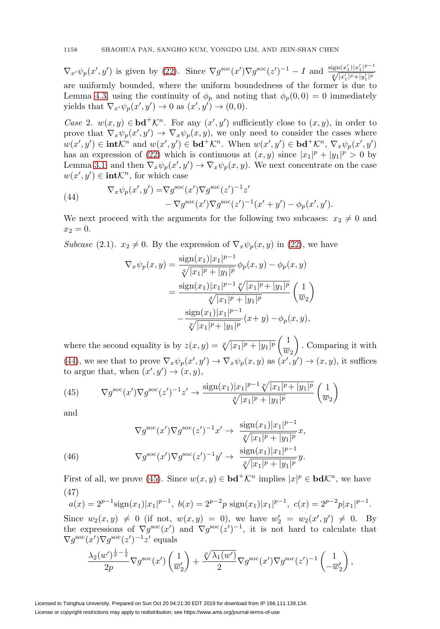$\nabla_{x'}\psi_p(x',y')$  is given by [\(22\)](#page-6-1). Since  $\nabla g^{\rm soc}(x')\nabla g^{\rm soc}(z')^{-1} - I$  and  $\frac{\text{sign}(x'_1)|x'_1|^{p-1}}{\sqrt[n]{|x'_1|^p+|y'_1|^p}}$ are uniformly bounded, where the uniform boundedness of the former is due to Lemma [4.3,](#page-13-4) using the continuity of  $\phi_p$  and noting that  $\phi_p(0,0) = 0$  immediately yields that  $\nabla_{x'} \psi_p(x', y') \to 0$  as  $(x', y') \to (0, 0)$ .

Case 2.  $w(x, y) \in \mathbf{bd}^+\mathcal{K}^n$ . For any  $(x', y')$  sufficiently close to  $(x, y)$ , in order to prove that  $\nabla_x \psi_p(x', y') \to \nabla_x \psi_p(x, y)$ , we only need to consider the cases where  $w(x', y') \in \textbf{intK}^n$  and  $w(x', y') \in \textbf{bd}^+\mathcal{K}^n$ . When  $w(x', y') \in \textbf{bd}^+\mathcal{K}^n$ ,  $\nabla_x \psi_p(x', y')$ has an expression of [\(22\)](#page-6-1) which is continuous at  $(x, y)$  since  $|x_1|^p + |y_1|^p > 0$  by Lemma [3.1,](#page-5-3) and then  $\nabla_x \psi_p(x', y') \to \nabla_x \psi_p(x, y)$ . We next concentrate on the case  $w(x', y') \in \text{int} \mathcal{K}^n$ , for which case

<span id="page-15-0"></span>(44) 
$$
\nabla_x \psi_p(x', y') = \nabla g^{\rm soc}(x') \nabla g^{\rm soc}(z')^{-1} z' - \nabla g^{\rm soc}(x') \nabla g^{\rm soc}(z')^{-1} (x' + y') - \phi_p(x', y').
$$

We next proceed with the arguments for the following two subcases:  $x_2 \neq 0$  and  $x_2 = 0.$ 

Subcase (2.1).  $x_2 \neq 0$ . By the expression of  $\nabla_x \psi_p(x, y)$  in [\(22\)](#page-6-1), we have

$$
\nabla_x \psi_p(x, y) = \frac{\text{sign}(x_1)|x_1|^{p-1}}{\sqrt[p]{|x_1|^p + |y_1|^p}} \phi_p(x, y) - \phi_p(x, y)
$$

$$
= \frac{\text{sign}(x_1)|x_1|^{p-1} \sqrt[p]{|x_1|^p + |y_1|^p}}{\sqrt[p]{|x_1|^p + |y_1|^p}} \left(\frac{1}{w_2}\right)
$$

$$
- \frac{\text{sign}(x_1)|x_1|^{p-1}}{\sqrt[p]{|x_1|^p + |y_1|^p}} (x + y) - \phi_p(x, y),
$$

where the second equality is by  $z(x, y) = \sqrt[p]{|x_1|^p + |y_1|^p} \left( \frac{1}{\frac{2m}{n}} \right)$  $\overline{w}_2$  $\setminus$ . Comparing it with [\(44\)](#page-15-0), we see that to prove  $\nabla_x \psi_p(x', y') \to \nabla_x \psi_p(x, y)$  as  $(x', y') \to (x, y)$ , it suffices to argue that, when  $(x', y') \rightarrow (x, y)$ ,

<span id="page-15-1"></span>(45) 
$$
\nabla g^{\rm soc}(x') \nabla g^{\rm soc}(z')^{-1} z' \to \frac{\text{sign}(x_1)|x_1|^{p-1} \sqrt[p]{|x_1|^p + |y_1|^p}}{\sqrt[p]{|x_1|^p + |y_1|^p}} \left(\frac{1}{w_2}\right)
$$

and

(46)  
\n
$$
\nabla g^{\rm soc}(x') \nabla g^{\rm soc}(z')^{-1} x' \to \frac{\text{sign}(x_1)|x_1|^{p-1}}{\sqrt[p]{|x_1|^p + |y_1|^p}} x,
$$
\n
$$
\nabla g^{\rm soc}(x') \nabla g^{\rm soc}(z')^{-1} y' \to \frac{\text{sign}(x_1)|x_1|^{p-1}}{\sqrt[p]{|x_1|^p + |y_1|^p}} y.
$$

<span id="page-15-3"></span><span id="page-15-2"></span>First of all, we prove [\(45\)](#page-15-1). Since  $w(x, y) \in \mathbf{bd}^+\mathcal{K}^n$  implies  $|x|^p \in \mathbf{bd}\mathcal{K}^n$ , we have (47)

$$
a(x) = 2^{p-1}\text{sign}(x_1)|x_1|^{p-1}, \ b(x) = 2^{p-2}p\text{ sign}(x_1)|x_1|^{p-1}, \ c(x) = 2^{p-2}p|x_1|^{p-1}.
$$

Since  $w_2(x, y) \neq 0$  (if not,  $w(x, y) = 0$ ), we have  $w'_2 = w_2(x', y') \neq 0$ . By the expressions of  $\nabla g^{\rm soc}(x')$  and  $\nabla g^{\rm soc}(z')^{-1}$ , it is not hard to calculate that  $\nabla g^{\rm soc}(x') \nabla g^{\rm soc}(z')^{-1} z'$  equals

$$
\frac{\lambda_2(w')^{\frac{1}{p}-\frac{1}{q}}}{2p}\nabla g^{\text{soc}}(x')\left(\frac{1}{w'_2}\right)+\frac{\sqrt[p]{\lambda_1(w')}}{2}\nabla g^{\text{soc}}(x')\nabla g^{\text{soc}}(z')^{-1}\left(\frac{1}{-w'_2}\right),
$$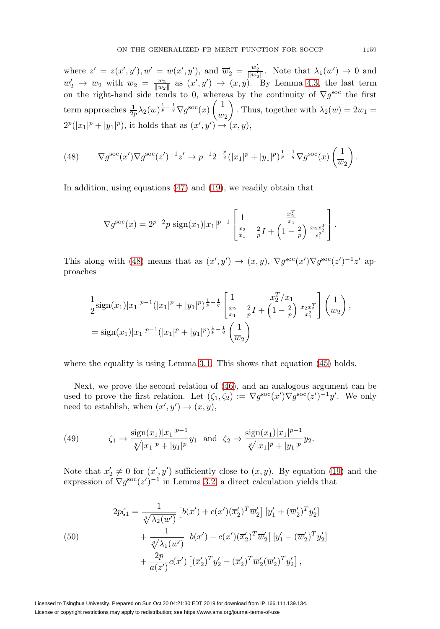where  $z' = z(x', y'), w' = w(x', y'),$  and  $\overline{w}'_2 = \frac{w'_2}{\|w'_2\|}$ . Note that  $\lambda_1(w') \to 0$  and  $\overline{w}'_2 \to \overline{w}_2$  with  $\overline{w}_2 = \frac{w_2}{\|w_2\|}$  as  $(x', y') \to (x, y)$ . By Lemma [4.3,](#page-13-4) the last term on the right-hand side tends to 0, whereas by the continuity of  $\nabla g^{\rm soc}$  the first term approaches  $\frac{1}{2p}\lambda_2(w)^{\frac{1}{p}-\frac{1}{q}}\nabla g^{\text{soc}}(x)\left(\frac{1}{w}\right)$  $\overline{w}_2$  $\setminus$ . Thus, together with  $\lambda_2(w)=2w_1 =$  $2^p(|x_1|^p + |y_1|^p)$ , it holds that as  $(x', y') \rightarrow (x, y)$ ,

<span id="page-16-0"></span>(48) 
$$
\nabla g^{\rm soc}(x') \nabla g^{\rm soc}(z')^{-1} z' \to p^{-1} 2^{-\frac{p}{q}} (|x_1|^p + |y_1|^p)^{\frac{1}{p} - \frac{1}{q}} \nabla g^{\rm soc}(x) \left(\frac{1}{w_2}\right).
$$

In addition, using equations [\(47\)](#page-15-2) and [\(19\)](#page-6-0), we readily obtain that

$$
\nabla g^{\rm soc}(x) = 2^{p-2} p \operatorname{sign}(x_1) |x_1|^{p-1} \left[ \frac{1}{\frac{x_2}{x_1}} \frac{\frac{x_2^T}{x_1}}{\frac{p}{p}} I + \left( 1 - \frac{2}{p} \right) \frac{\frac{x_2 x_2^T}{x_1^2}}{\frac{x_2^T}{x_1^2}} \right].
$$

This along with [\(48\)](#page-16-0) means that as  $(x', y') \to (x, y)$ ,  $\nabla g^{\rm soc}(x') \nabla g^{\rm soc}(z')^{-1} z'$  approaches

$$
\frac{1}{2}\text{sign}(x_1)|x_1|^{p-1}(|x_1|^p+|y_1|^p)^{\frac{1}{p}-\frac{1}{q}}\left[\frac{1}{\frac{x_2}{x_1}}\frac{x_2^T/x_1}{\frac{p}{p}}I+\left(1-\frac{2}{p}\right)\frac{x_2x_2^T}{x_1^2}\right]\left(\frac{1}{w_2}\right),
$$
\n
$$
=\text{sign}(x_1)|x_1|^{p-1}(|x_1|^p+|y_1|^p)^{\frac{1}{p}-\frac{1}{q}}\left(\frac{1}{w_2}\right)
$$

where the equality is using Lemma [3.1.](#page-5-3) This shows that equation [\(45\)](#page-15-1) holds.

Next, we prove the second relation of [\(46\)](#page-15-3), and an analogous argument can be used to prove the first relation. Let  $(\zeta_1, \zeta_2) := \nabla g^{\rm soc}(x') \nabla g^{\rm soc}(z')^{-1} y'$ . We only need to establish, when  $(x', y') \rightarrow (x, y)$ ,

<span id="page-16-2"></span>(49) 
$$
\zeta_1 \to \frac{\text{sign}(x_1)|x_1|^{p-1}}{\sqrt[p]{|x_1|^p + |y_1|^p}} y_1 \text{ and } \zeta_2 \to \frac{\text{sign}(x_1)|x_1|^{p-1}}{\sqrt[p]{|x_1|^p + |y_1|^p}} y_2.
$$

Note that  $x_2' \neq 0$  for  $(x', y')$  sufficiently close to  $(x, y)$ . By equation [\(19\)](#page-6-0) and the expression of  $\nabla g^{\rm soc}(z')^{-1}$  in Lemma [3.2,](#page-5-2) a direct calculation yields that

<span id="page-16-1"></span>(50)  
\n
$$
2p\zeta_1 = \frac{1}{\sqrt[4]{\lambda_2(w')}} \left[ b(x') + c(x')(\overline{x}_2')^T \overline{w}_2' \right] \left[ y_1' + (\overline{w}_2')^T y_2' \right] + \frac{1}{\sqrt[4]{\lambda_1(w')}} \left[ b(x') - c(x')(\overline{x}_2')^T \overline{w}_2' \right] \left[ y_1' - (\overline{w}_2')^T y_2' \right] + \frac{2p}{a(z')} c(x') \left[ (\overline{x}_2')^T y_2' - (\overline{x}_2')^T \overline{w}_2' (\overline{w}_2')^T y_2' \right],
$$

Licensed to Tsinghua University. Prepared on Sun Oct 20 04:21:30 EDT 2019 for download from IP 166.111.139.134. License or copyright restrictions may apply to redistribution; see https://www.ams.org/journal-terms-of-use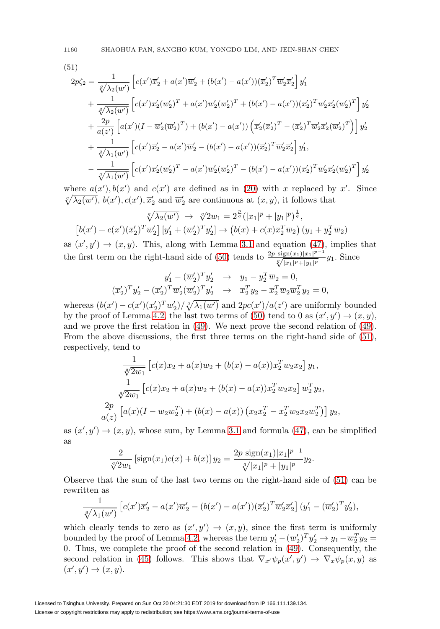1160 SHAOHUA PAN, SANGHO KUM, YONGDO LIM, AND JEIN-SHAN CHEN

<span id="page-17-0"></span>(51)

$$
2p\zeta_2 = \frac{1}{\sqrt[4]{\lambda_2(w')}} \left[ c(x')\overline{x}_2' + a(x')\overline{w}_2' + (b(x') - a(x'))(\overline{x}_2')^T \overline{w}_2'\overline{x}_2' \right] y_1' + \frac{1}{\sqrt[4]{\lambda_2(w')}} \left[ c(x')\overline{x}_2'(\overline{w}_2')^T + a(x')\overline{w}_2'(\overline{w}_2')^T + (b(x') - a(x'))(\overline{x}_2')^T \overline{w}_2'\overline{x}_2'(\overline{w}_2')^T \right] y_2' + \frac{2p}{a(z')} \left[ a(x')(I - \overline{w}_2'(\overline{w}_2')^T) + (b(x') - a(x')) \left( \overline{x}_2'(\overline{x}_2')^T - (\overline{x}_2')^T \overline{w}_2'\overline{x}_2'(\overline{w}_2')^T \right) \right] y_2' + \frac{1}{\sqrt[4]{\lambda_1(w')}} \left[ c(x')\overline{x}_2' - a(x')\overline{w}_2' - (b(x') - a(x'))(\overline{x}_2')^T \overline{w}_2'\overline{x}_2' \right] y_1', - \frac{1}{\sqrt[4]{\lambda_1(w')}} \left[ c(x')\overline{x}_2'(\overline{w}_2')^T - a(x')\overline{w}_2'(\overline{w}_2')^T - (b(x') - a(x'))(\overline{x}_2')^T \overline{w}_2'\overline{x}_2'(\overline{w}_2')^T \right] y_2'.
$$

where  $a(x')$ ,  $b(x')$  and  $c(x')$  are defined as in [\(20\)](#page-6-2) with x replaced by x'. Since  $\sqrt[q]{\lambda_2(w')}$ ,  $b(x'), c(x'), \overline{x}'_2$  and  $\overline{w}'_2$  are continuous at  $(x, y)$ , it follows that

$$
\sqrt[4]{\lambda_2(w')} \rightarrow \sqrt[4]{2w_1} = 2^{\frac{p}{q}} (|x_1|^p + |y_1|^p)^{\frac{1}{q}},
$$
  

$$
[b(x') + c(x')(\overline{x}_2')^T \overline{w}_2'] [y_1' + (\overline{w}_2')^T y_2'] \rightarrow (b(x) + c(x)\overline{x}_2^T \overline{w}_2) (y_1 + y_2^T \overline{w}_2)
$$

as  $(x', y') \rightarrow (x, y)$ . This, along with Lemma [3.1](#page-5-3) and equation [\(47\)](#page-15-2), implies that the first term on the right-hand side of [\(50\)](#page-16-1) tends to  $\frac{2p \operatorname{sign}(x_1)|x_1|^{p-1}}{\sqrt[q]{|x_1|^p+|y_1|^p}} y_1$ . Since

$$
y'_1 - (\overline{w}'_2)^T y'_2 \rightarrow y_1 - y_2^T \overline{w}_2 = 0,
$$
  

$$
(\overline{x}'_2)^T y'_2 - (\overline{x}'_2)^T \overline{w}'_2 (\overline{w}'_2)^T y'_2 \rightarrow \overline{x}_2^T y_2 - \overline{x}_2^T \overline{w}_2 \overline{w}_2^T y_2 = 0,
$$

whereas  $(b(x') - c(x')(\overline{x}_2')^T \overline{w}_2') / \sqrt[q]{\lambda_1(w')}$  and  $2pc(x')/a(z')$  are uniformly bounded by the proof of Lemma [4.2,](#page-11-1) the last two terms of [\(50\)](#page-16-1) tend to 0 as  $(x', y') \rightarrow (x, y)$ , and we prove the first relation in [\(49\)](#page-16-2). We next prove the second relation of [\(49\)](#page-16-2). From the above discussions, the first three terms on the right-hand side of [\(51\)](#page-17-0), respectively, tend to

$$
\frac{1}{\sqrt[4]{2w_1}} \left[ c(x)\overline{x}_2 + a(x)\overline{w}_2 + (b(x) - a(x))\overline{x}_2^T \overline{w}_2 \overline{x}_2 \right] y_1,
$$
  

$$
\frac{1}{\sqrt[4]{2w_1}} \left[ c(x)\overline{x}_2 + a(x)\overline{w}_2 + (b(x) - a(x))\overline{x}_2^T \overline{w}_2 \overline{x}_2 \right] \overline{w}_2^T y_2,
$$
  

$$
\frac{2p}{a(z)} \left[ a(x)(I - \overline{w}_2 \overline{w}_2^T) + (b(x) - a(x))\left( \overline{x}_2 \overline{x}_2^T - \overline{x}_2^T \overline{w}_2 \overline{x}_2 \overline{w}_2^T \right) \right] y_2,
$$

as  $(x', y') \rightarrow (x, y)$ , whose sum, by Lemma [3.1](#page-5-3) and formula [\(47\)](#page-15-2), can be simplified as

$$
\frac{2}{\sqrt[4]{2w_1}}\left[\text{sign}(x_1)c(x) + b(x)\right]y_2 = \frac{2p\,\text{sign}(x_1)|x_1|^{p-1}}{\sqrt[q]{|x_1|^p + |y_1|^p}}y_2.
$$

Observe that the sum of the last two terms on the right-hand side of [\(51\)](#page-17-0) can be rewritten as

$$
\frac{1}{\sqrt[n]{\lambda_1(w')}} \left[ c(x') \overline{x}_2' - a(x') \overline{w}_2' - (b(x') - a(x')) (\overline{x}_2')^T \overline{w}_2' \overline{x}_2' \right] (y_1' - (\overline{w}_2')^T y_2'),
$$

which clearly tends to zero as  $(x', y') \rightarrow (x, y)$ , since the first term is uniformly bounded by the proof of Lemma [4.2,](#page-11-1) whereas the term  $y_1' - (\overline{w}_2')^T y_2' \rightarrow y_1 - \overline{w}_2^T y_2 =$ 0. Thus, we complete the proof of the second relation in [\(49\)](#page-16-2). Consequently, the second relation in [\(45\)](#page-15-1) follows. This shows that  $\nabla_{x'} \psi_p(x', y') \to \nabla_x \psi_p(x, y)$  as  $(x', y') \rightarrow (x, y).$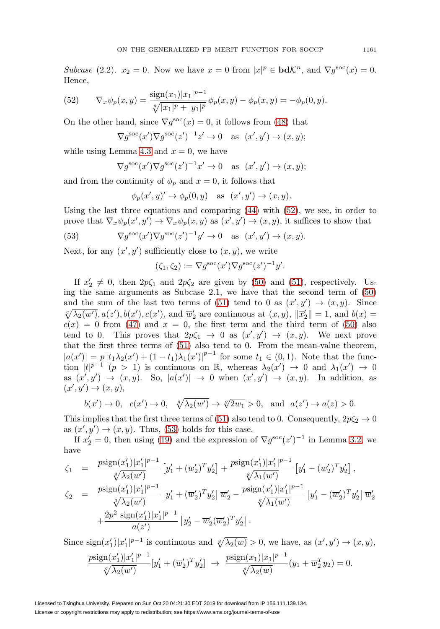Subcase (2.2).  $x_2 = 0$ . Now we have  $x = 0$  from  $|x|^p \in \mathbf{bd}\mathcal{K}^n$ , and  $\nabla g^{\rm soc}(x) = 0$ . Hence,

<span id="page-18-0"></span>(52) 
$$
\nabla_x \psi_p(x, y) = \frac{\text{sign}(x_1)|x_1|^{p-1}}{\sqrt[q]{|x_1|^p + |y_1|^p}} \phi_p(x, y) - \phi_p(x, y) = -\phi_p(0, y).
$$

On the other hand, since  $\nabla g^{\rm soc}(x) = 0$ , it follows from [\(48\)](#page-16-0) that

$$
\nabla g^{\rm soc}(x') \nabla g^{\rm soc}(z')^{-1} z' \to 0 \quad \text{as} \ \ (x', y') \to (x, y);
$$

while using Lemma [4.3](#page-13-4) and  $x = 0$ , we have

$$
\nabla g^{\rm soc}(x') \nabla g^{\rm soc}(z')^{-1} x' \to 0 \quad \text{as} \ \ (x', y') \to (x, y);
$$

and from the continuity of  $\phi_p$  and  $x = 0$ , it follows that

<span id="page-18-1"></span> $\phi_p(x', y) \to \phi_p(0, y)$  as  $(x', y') \to (x, y)$ .

Using the last three equations and comparing  $(44)$  with  $(52)$ , we see, in order to prove that  $\nabla_x \psi_p(x', y') \to \nabla_x \psi_p(x, y)$  as  $(x', y') \to (x, y)$ , it suffices to show that

(53) 
$$
\nabla g^{\rm soc}(x') \nabla g^{\rm soc}(z')^{-1} y' \to 0 \text{ as } (x', y') \to (x, y).
$$

Next, for any  $(x', y')$  sufficiently close to  $(x, y)$ , we write

$$
(\zeta_1, \zeta_2) := \nabla g^{\rm soc}(x') \nabla g^{\rm soc}(z')^{-1} y'.
$$

If  $x_2' \neq 0$ , then  $2p\zeta_1$  and  $2p\zeta_2$  are given by [\(50\)](#page-16-1) and [\(51\)](#page-17-0), respectively. Using the same arguments as Subcase 2.1, we have that the second term of [\(50\)](#page-16-1) and the sum of the last two terms of [\(51\)](#page-17-0) tend to 0 as  $(x', y') \rightarrow (x, y)$ . Since  $\sqrt[q]{\lambda_2(w')}$ ,  $a(z'), b(x'), c(x')$ , and  $\overline{w}'_2$  are continuous at  $(x, y)$ ,  $\|\overline{x}'_2\|=1$ , and  $b(x)=$  $c(x) = 0$  from [\(47\)](#page-15-2) and  $x = 0$ , the first term and the third term of [\(50\)](#page-16-1) also tend to 0. This proves that  $2p\zeta_1 \rightarrow 0$  as  $(x', y') \rightarrow (x, y)$ . We next prove that the first three terms of [\(51\)](#page-17-0) also tend to 0. From the mean-value theorem,  $|a(x')| = p |t_1 \lambda_2(x') + (1-t_1) \lambda_1(x')|^{p-1}$  for some  $t_1 \in (0,1)$ . Note that the function  $|t|^{p-1}$   $(p > 1)$  is continuous on R, whereas  $\lambda_2(x') \to 0$  and  $\lambda_1(x') \to 0$ as  $(x', y') \rightarrow (x, y)$ . So,  $|a(x')| \rightarrow 0$  when  $(x', y') \rightarrow (x, y)$ . In addition, as  $(x', y') \rightarrow (x, y),$ 

$$
b(x') \to 0, \quad c(x') \to 0, \quad \sqrt[q]{\lambda_2(w')} \to \sqrt[q]{2w_1} > 0, \quad \text{and} \quad a(z') \to a(z) > 0.
$$

This implies that the first three terms of [\(51\)](#page-17-0) also tend to 0. Consequently,  $2p\zeta_2 \to 0$ as  $(x', y') \rightarrow (x, y)$ . Thus, [\(53\)](#page-18-1) holds for this case.

If  $x_2' = 0$ , then using [\(19\)](#page-6-0) and the expression of  $\nabla g^{\text{soc}}(z')^{-1}$  in Lemma [3.2,](#page-5-2) we have

$$
\zeta_1 = \frac{p \text{sign}(x_1')|x_1'|^{p-1}}{\sqrt[q]{\lambda_2(w')}} \left[ y_1' + (\overline{w}_2')^T y_2' \right] + \frac{p \text{sign}(x_1')|x_1'|^{p-1}}{\sqrt[q]{\lambda_1(w')}} \left[ y_1' - (\overline{w}_2')^T y_2' \right],
$$
\n
$$
\zeta_2 = \frac{p \text{sign}(x_1')|x_1'|^{p-1}}{\sqrt[q]{\lambda_2(w')}} \left[ y_1' + (\overline{w}_2')^T y_2' \right] \overline{w}_2' - \frac{p \text{sign}(x_1')|x_1'|^{p-1}}{\sqrt[q]{\lambda_1(w')}} \left[ y_1' - (\overline{w}_2')^T y_2' \right] \overline{w}_2' + \frac{2p^2 \text{ sign}(x_1')|x_1'|^{p-1}}{a(z')} \left[ y_2' - \overline{w}_2'(\overline{w}_2')^T y_2' \right].
$$

Since  $\operatorname{sign}(x_1')|x_1'|^{p-1}$  is continuous and  $\sqrt[q]{\lambda_2(w)} > 0$ , we have, as  $(x', y') \to (x, y)$ ,

$$
\frac{p \text{sign}(x_1')|x_1'|^{p-1}}{\sqrt[q]{\lambda_2(w')}}[y_1' + (\overline{w}_2')^T y_2'] \rightarrow \frac{p \text{sign}(x_1)|x_1|^{p-1}}{\sqrt[q]{\lambda_2(w)}}(y_1 + \overline{w}_2^T y_2) = 0.
$$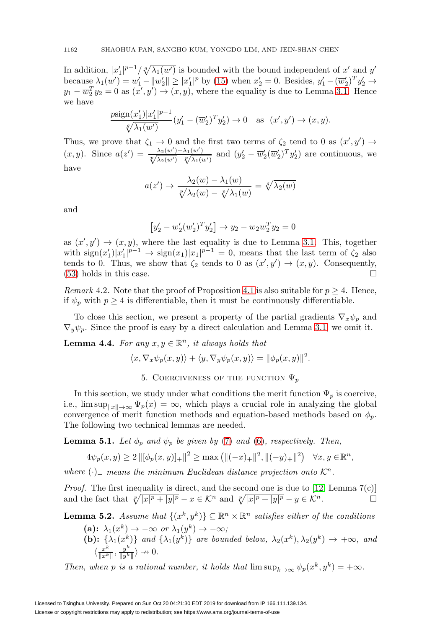In addition,  $|x'_1|^{p-1}/\sqrt[q]{\lambda_1(w')}$  is bounded with the bound independent of  $x'$  and  $y'$ because  $\lambda_1(w') = w_1' - ||w_2'|| \ge |x_1'|^p$  by [\(15\)](#page-4-3) when  $x_2' = 0$ . Besides,  $y_1' - (\overline{w}_2')^T y_2' \to$  $y_1 - \overline{w}_2^T y_2 = 0$  as  $(x', y') \rightarrow (x, y)$ , where the equality is due to Lemma [3.1.](#page-5-3) Hence we have

$$
\frac{p \text{sign}(x_1')|x_1'|^{p-1}}{\sqrt[q]{\lambda_1(w')}}(y_1' - (\overline{w}_2')^T y_2') \to 0 \quad \text{as} \ \ (x', y') \to (x, y).
$$

Thus, we prove that  $\zeta_1 \to 0$  and the first two terms of  $\zeta_2$  tend to 0 as  $(x', y') \to$  $(x, y)$ . Since  $a(z') = \frac{\lambda_2(w') - \lambda_1(w')}{\sqrt[p]{\lambda_2(w') - \sqrt[p]{\lambda_1(w')}}$  and  $(y'_2 - \overline{w}'_2(\overline{w}'_2)^T y'_2)$  are continuous, we have

$$
a(z') \to \frac{\lambda_2(w) - \lambda_1(w)}{\sqrt[p]{\lambda_2(w)} - \sqrt[p]{\lambda_1(w)}} = \sqrt[q]{\lambda_2(w)}
$$

and

$$
\left[y_2' - \overline{w}_2'(\overline{w}_2')^T y_2'\right] \rightarrow y_2 - \overline{w}_2 \overline{w}_2^T y_2 = 0
$$

as  $(x', y') \rightarrow (x, y)$ , where the last equality is due to Lemma [3.1.](#page-5-3) This, together with  $\operatorname{sign}(x_1')|x_1'|^{p-1} \to \operatorname{sign}(x_1)|x_1|^{p-1} = 0$ , means that the last term of  $\zeta_2$  also tends to 0. Thus, we show that  $\zeta_2$  tends to 0 as  $(x', y') \to (x, y)$ . Consequently,  $(53)$  holds in this case.  $\Box$ 

Remark 4.2. Note that the proof of Proposition [4.1](#page-14-2) is also suitable for  $p \geq 4$ . Hence, if  $\psi_p$  with  $p \geq 4$  is differentiable, then it must be continuously differentiable.

To close this section, we present a property of the partial gradients  $\nabla_x \psi_p$  and  $\nabla_y \psi_p$ . Since the proof is easy by a direct calculation and Lemma [3.1,](#page-5-3) we omit it.

**Lemma 4.4.** For any  $x, y \in \mathbb{R}^n$ , it always holds that

$$
\langle x, \nabla_x \psi_p(x, y) \rangle + \langle y, \nabla_y \psi_p(x, y) \rangle = ||\phi_p(x, y)||^2.
$$

5. COERCIVENESS OF THE FUNCTION  $\Psi_p$ 

In this section, we study under what conditions the merit function  $\Psi_p$  is coercive, i.e.,  $\limsup_{\|x\|\to\infty} \Psi_p(x) = \infty$ , which plays a crucial role in analyzing the global convergence of merit function methods and equation-based methods based on  $\phi_p$ . The following two technical lemmas are needed.

<span id="page-19-0"></span>**Lemma 5.1.** Let  $\phi_p$  and  $\psi_p$  be given by [\(7\)](#page-1-1) and [\(6\)](#page-1-2), respectively. Then,

$$
4\psi_p(x,y) \ge 2\left\|[\phi_p(x,y)]_+\right\|^2 \ge \max\left(\|(-x)_+\|^2, \|(-y)_+\|^2\right) \quad \forall x, y \in \mathbb{R}^n,
$$

where  $(\cdot)_+$  means the minimum Euclidean distance projection onto  $\mathcal{K}^n$ .

*Proof.* The first inequality is direct, and the second one is due to [\[12,](#page-27-10) Lemma  $7(c)$ ] and the fact that  $\sqrt[p]{|x|^p + |y|^p} - x \in \mathcal{K}^n$  and  $\sqrt[p]{|x|^p + |y|^p} - y \in \mathcal{K}^n$ .

<span id="page-19-1"></span>**Lemma 5.2.** Assume that  $\{(x^k, y^k)\}\subseteq \mathbb{R}^n \times \mathbb{R}^n$  satisfies either of the conditions

(a):  $\lambda_1(x^k) \rightarrow -\infty$  or  $\lambda_1(y^k) \rightarrow -\infty$ ; **(b):**  $\{\lambda_1(x^k)\}\$ and  $\{\lambda_1(y^k)\}\$ are bounded below,  $\lambda_2(x^k), \lambda_2(y^k) \to +\infty$ , and  $\langle \frac{x^k}{\|x^k\|}, \frac{y^k}{\|y^k\|} \rangle \nrightarrow 0.$ 

Then, when p is a rational number, it holds that  $\limsup_{k\to\infty}\psi_p(x^k, y^k)=+\infty$ .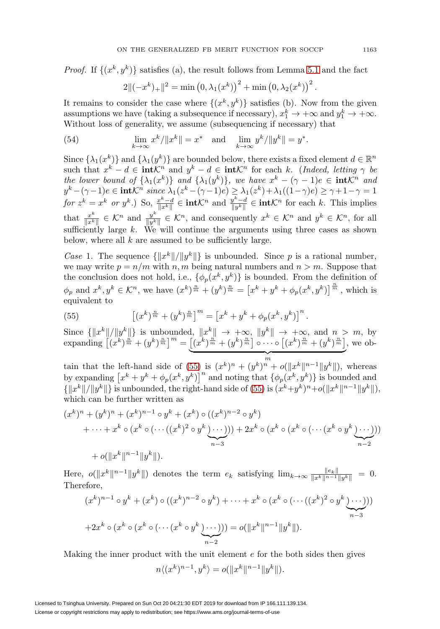*Proof.* If  $\{(x^k, y^k)\}$  satisfies (a), the result follows from Lemma [5.1](#page-19-0) and the fact

$$
2\|(-x^{k})_{+}\|^{2} = \min (0, \lambda_{1}(x^{k}))^{2} + \min (0, \lambda_{2}(x^{k}))^{2}.
$$

It remains to consider the case where  $\{(x^k, y^k)\}$  satisfies (b). Now from the given assumptions we have (taking a subsequence if necessary),  $x_1^k \to +\infty$  and  $y_1^k \to +\infty$ . Without loss of generality, we assume (subsequencing if necessary) that

<span id="page-20-1"></span>(54) 
$$
\lim_{k \to \infty} x^k / \|x^k\| = x^* \text{ and } \lim_{k \to \infty} y^k / \|y^k\| = y^*.
$$

Since  $\{\lambda_1(x^k)\}\$  and  $\{\lambda_1(y^k)\}\$  are bounded below, there exists a fixed element  $d \in \mathbb{R}^n$ such that  $x^k - d \in \text{int} \mathcal{K}^n$  and  $y^k - d \in \text{int} \mathcal{K}^n$  for each k. (Indeed, letting  $\gamma$  be the lower bound of  $\{\lambda_1(x^k)\}\$  and  $\{\lambda_1(y^k)\}\$ , we have  $x^k - (\gamma - 1)e \in \text{int}\mathcal{K}^n$  and  $y^k - (\gamma - 1)e \in \textbf{int} \mathcal{K}^n \; \textit{since } \lambda_1 (z^k - (\gamma - 1)e) \geq \lambda_1 (z^k) + \lambda_1 ((1 - \gamma) e) \geq \gamma + 1 - \gamma = 1$ for  $z^k = x^k$  or  $y^k$ .) So,  $\frac{x^k - d}{\|x^k\|} \in \text{int} \mathcal{K}^n$  and  $\frac{y^k - d}{\|y^k\|} \in \text{int} \mathcal{K}^n$  for each k. This implies that  $\frac{x^k}{\|x^k\|} \in \mathcal{K}^n$  and  $\frac{y^k}{\|y^k\|} \in \mathcal{K}^n$ , and consequently  $x^k \in \mathcal{K}^n$  and  $y^k \in \mathcal{K}^n$ , for all sufficiently large  $k$ . We will continue the arguments using three cases as shown below, where all  $k$  are assumed to be sufficiently large.

Case 1. The sequence  $\{\Vert x^k \Vert / \Vert y^k \Vert\}$  is unbounded. Since p is a rational number, we may write  $p = n/m$  with n, m being natural numbers and  $n > m$ . Suppose that the conclusion does not hold, i.e.,  $\{\phi_p(x^k, y^k)\}\$ is bounded. From the definition of  $\phi_p$  and  $x^k, y^k \in \mathcal{K}^n$ , we have  $(x^k)^{\frac{n}{m}} + (y^k)^{\frac{n}{m}} = [x^k + y^k + \phi_p(x^k, y^k)]^{\frac{n}{m}}$ , which is equivalent to

<span id="page-20-0"></span>(55) 
$$
\left[ (x^k)^{\frac{n}{m}} + (y^k)^{\frac{n}{m}} \right]^m = \left[ x^k + y^k + \phi_p(x^k, y^k) \right]^n.
$$

Since  $\{\Vert x^k \Vert / \Vert y^k \Vert\}$  is unbounded,  $\Vert x^k \Vert \to +\infty$ ,  $\Vert y^k \Vert \to +\infty$ , and  $n > m$ , by expanding  $\left[ (x^k)^{\frac{n}{m}} + (y^k)^{\frac{n}{m}} \right]^m = \left[ (x^k)^{\frac{n'}{m}} + (y^k)^{\frac{n}{m}} \right] \circ \cdots \circ \left[ (x^k)^{\frac{n}{m}} + (y^k)^{\frac{n}{m}} \right]$  $\overbrace{m}$ , we ob-

tain that the left-hand side of [\(55\)](#page-20-0) is  $(x^k)^n + (y^k)^n + o(||x^k||^{n-1}||y^k||)$ , whereas by expanding  $\left[x^k + y^k + \phi_p(x^k, y^k)\right]^n$  and noting that  $\{\phi_p(x^k, y^k)\}\$ is bounded and  $\{|x^k||/||y^k||\}$  is unbounded, the right-hand side of [\(55\)](#page-20-0) is  $(x^k+y^k)^n+o(||x^k||^{n-1}||y^k||)$ , which can be further written as

$$
(x^{k})^{n} + (y^{k})^{n} + (x^{k})^{n-1} \circ y^{k} + (x^{k}) \circ ((x^{k})^{n-2} \circ y^{k})
$$
  
 
$$
+ \cdots + x^{k} \circ (x^{k} \circ (\cdots ((x^{k})^{2} \circ y^{k}) \cdots))) + 2x^{k} \circ (x^{k} \circ (x^{k} \circ (\cdots (x^{k} \circ y^{k}) \cdots)))
$$
  
 
$$
+ o(||x^{k}||^{n-1}||y^{k}||).
$$

Here,  $o(||x^k||^{n-1}||y^k||)$  denotes the term  $e_k$  satisfying  $\lim_{k\to\infty} \frac{||e_k||}{||x^k||^{n-1}||y^k||} = 0.$ Therefore,

$$
(x^k)^{n-1} \circ y^k + (x^k) \circ ((x^k)^{n-2} \circ y^k) + \dots + x^k \circ (x^k \circ (\dots((x^k)^2 \circ y^k \dots)))
$$

$$
+2x^k \circ (x^k \circ (x^k \circ (\dots(x^k \circ y^k \dots))) = o(||x^k||^{n-1}||y^k||).
$$

Making the inner product with the unit element  $e$  for the both sides then gives

$$
n\langle (x^k)^{n-1}, y^k \rangle = o(\|x^k\|^{n-1} \|y^k\|).
$$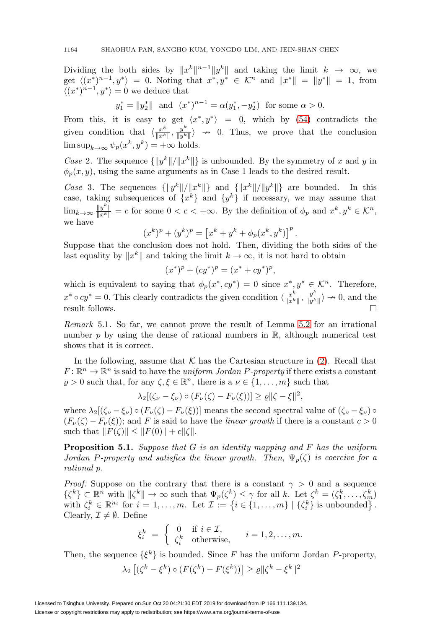Dividing the both sides by  $||x^k||^{n-1}||y^k||$  and taking the limit  $k \to \infty$ , we get  $\langle (x^*)^{n-1}, y^* \rangle = 0$ . Noting that  $x^*, y^* \in \mathcal{K}^n$  and  $||x^*|| = ||y^*|| = 1$ , from  $\langle (x^*)^{n-1}, y^* \rangle = 0$  we deduce that

$$
y_1^* = ||y_2^*||
$$
 and  $(x^*)^{n-1} = \alpha(y_1^*, -y_2^*)$  for some  $\alpha > 0$ .

From this, it is easy to get  $\langle x^*, y^* \rangle = 0$ , which by [\(54\)](#page-20-1) contradicts the given condition that  $\langle \frac{x^k}{\|x^k\|}, \frac{y^k}{\|y^k\|} \rangle \rightarrow 0$ . Thus, we prove that the conclusion  $\limsup_{k\to\infty}\psi_p(x^k, y^k)=+\infty$  holds.

Case 2. The sequence  $\{\Vert y^k \Vert / \Vert x^k \Vert \}$  is unbounded. By the symmetry of x and y in  $\phi_p(x, y)$ , using the same arguments as in Case 1 leads to the desired result.

Case 3. The sequences  $\{\Vert y^k \Vert / \Vert x^k \Vert\}$  and  $\{\Vert x^k \Vert / \Vert y^k \Vert\}$  are bounded. In this case, taking subsequences of  $\{x^k\}$  and  $\{y^k\}$  if necessary, we may assume that  $\lim_{k\to\infty} \frac{\|y^k\|}{\|x^k\|} = c$  for some  $0 < c < +\infty$ . By the definition of  $\phi_p$  and  $x^k, y^k \in \mathcal{K}^n$ , we have

$$
(x^{k})^{p} + (y^{k})^{p} = [x^{k} + y^{k} + \phi_{p}(x^{k}, y^{k})]^{p}.
$$

Suppose that the conclusion does not hold. Then, dividing the both sides of the last equality by  $||x^k||$  and taking the limit  $k \to \infty$ , it is not hard to obtain

$$
(x^*)^p + (cy^*)^p = (x^* + cy^*)^p,
$$

which is equivalent to saying that  $\phi_p(x^*, cy^*) = 0$  since  $x^*, y^* \in \mathcal{K}^n$ . Therefore,  $x^* \circ cy^* = 0$ . This clearly contradicts the given condition  $\langle \frac{x^k}{\|x^k\|}, \frac{y^k}{\|y^k\|} \rangle \to 0$ , and the result follows.  $\Box$ 

Remark 5.1. So far, we cannot prove the result of Lemma [5.2](#page-19-1) for an irrational number p by using the dense of rational numbers in  $\mathbb{R}$ , although numerical test shows that it is correct.

In the following, assume that  $\mathcal K$  has the Cartesian structure in [\(2\)](#page-0-1). Recall that  $F: \mathbb{R}^n \to \mathbb{R}^n$  is said to have the *uniform Jordan P-property* if there exists a constant  $\varrho > 0$  such that, for any  $\zeta, \xi \in \mathbb{R}^n$ , there is a  $\nu \in \{1, \ldots, m\}$  such that

$$
\lambda_2[(\zeta_\nu-\xi_\nu)\circ(F_\nu(\zeta)-F_\nu(\xi))]\geq \varrho \|\zeta-\xi\|^2,
$$

where  $\lambda_2[(\zeta_\nu-\zeta_\nu)\circ(F_\nu(\zeta)-F_\nu(\zeta))]$  means the second spectral value of  $(\zeta_\nu-\zeta_\nu)\circ(F_\nu(\zeta)-F_\nu(\zeta))]$  $(F_{\nu}(\zeta) - F_{\nu}(\zeta))$ ; and F is said to have the *linear growth* if there is a constant  $c > 0$ such that  $||F(\zeta)|| \leq ||F(0)|| + c||\zeta||$ .

**Proposition 5.1.** Suppose that G is an identity mapping and F has the uniform Jordan P-property and satisfies the linear growth. Then,  $\Psi_p(\zeta)$  is coercive for a rational p.

*Proof.* Suppose on the contrary that there is a constant  $\gamma > 0$  and a sequence  $\{\zeta^k\} \subset \mathbb{R}^n$  with  $\|\zeta^k\| \to \infty$  such that  $\Psi_p(\zeta^k) \leq \gamma$  for all k. Let  $\zeta^k = (\zeta_1^k, \ldots, \zeta_m^k)$ with  $\zeta_i^k \in \mathbb{R}^{n_i}$  for  $i = 1, ..., m$ . Let  $\mathcal{I} := \{i \in \{1, ..., m\} \mid \{\zeta_i^k\} \text{ is unbounded}\}\.$ Clearly,  $\mathcal{I} \neq \emptyset$ . Define

$$
\xi_i^k = \begin{cases} 0 & \text{if } i \in \mathcal{I}, \\ \zeta_i^k & \text{otherwise}, \end{cases} \quad i = 1, 2, \dots, m.
$$

Then, the sequence  $\{\xi^k\}$  is bounded. Since F has the uniform Jordan P-property,

$$
\lambda_2 \left[ \left( \zeta^k - \xi^k \right) \circ \left( F(\zeta^k) - F(\xi^k) \right) \right] \ge \varrho \| \zeta^k - \xi^k \|^2
$$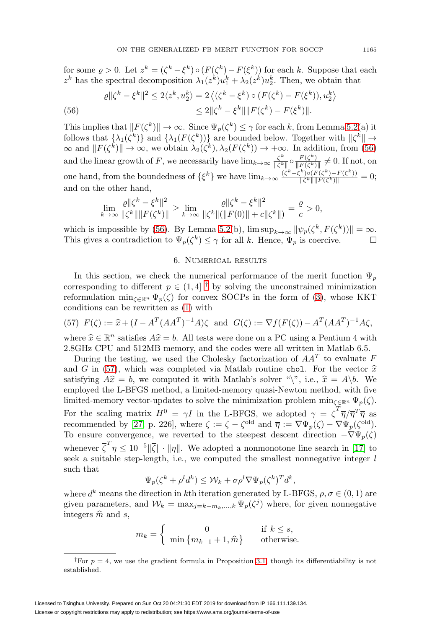for some  $\rho > 0$ . Let  $z^k = (\zeta^k - \xi^k) \circ (F(\zeta^k) - F(\xi^k))$  for each k. Suppose that each  $z^k$  has the spectral decomposition  $\lambda_1(z^k)u_1^k + \lambda_2(z^k)u_2^k$ . Then, we obtain that

<span id="page-22-0"></span>(56) 
$$
\varrho \|\zeta^k - \xi^k\|^2 \le 2\langle z^k, u_2^k \rangle = 2 \langle (\zeta^k - \xi^k) \circ (F(\zeta^k) - F(\xi^k)), u_2^k \rangle
$$

$$
\le 2 \|\zeta^k - \xi^k\| \|F(\zeta^k) - F(\xi^k)\|.
$$

This implies that  $||F(\zeta^k)|| \to \infty$ . Since  $\Psi_p(\zeta^k) \leq \gamma$  for each k, from Lemma [5.2\(](#page-19-1)a) it follows that  $\{\lambda_1(\zeta^k)\}\$ and  $\{\lambda_1(F(\zeta^k))\}\$ are bounded below. Together with  $\|\zeta^k\| \to$  $\infty$  and  $||F(\zeta^k)|| \to \infty$ , we obtain  $\lambda_2(\zeta^k), \lambda_2(F(\zeta^k)) \to +\infty$ . In addition, from [\(56\)](#page-22-0) and the linear growth of F, we necessarily have  $\lim_{k\to\infty} \frac{\zeta^k}{\|\zeta^k\|} \circ \frac{F(\zeta^k)}{\|F(\zeta^k)\|} \neq 0$ . If not, on one hand, from the boundedness of  $\{\xi^k\}$  we have  $\lim_{k\to\infty} \frac{(\zeta^k-\xi^k)\circ (F(\zeta^k)-F(\xi^k))}{\|\zeta^k\| \|F(\zeta^k)\|} = 0;$ and on the other hand,

$$
\lim_{k \to \infty} \frac{\varrho \| \zeta^k - \xi^k \|^2}{\|\zeta^k\| \|F(\zeta^k)\|} \ge \lim_{k \to \infty} \frac{\varrho \| \zeta^k - \xi^k \|^2}{\|\zeta^k\| (\|F(0)\| + c\|\zeta^k\|)} = \frac{\varrho}{c} > 0,
$$

which is impossible by [\(56\)](#page-22-0). By Lemma [5.2\(](#page-19-1)b),  $\limsup_{k\to\infty} ||\psi_p(\zeta^k, F(\zeta^k))|| = \infty$ . This gives a contradiction to  $\Psi_p(\zeta^k) \leq \gamma$  for all k. Hence,  $\Psi_p$  is coercive.  $\Box$ 

## 6. Numerical results

In this section, we check the numerical performance of the merit function  $\Psi_p$ corresponding to different  $p \in (1, 4]$ <sup>[†](#page-22-1)</sup> by solving the unconstrained minimization reformulation  $\min_{\zeta \in \mathbb{R}^n} \Psi_p(\zeta)$  for convex SOCPs in the form of [\(3\)](#page-1-3), whose KKT conditions can be rewritten as [\(1\)](#page-0-0) with

<span id="page-22-2"></span>(57) 
$$
F(\zeta) := \hat{x} + (I - A^T (A A^T)^{-1} A) \zeta
$$
 and  $G(\zeta) := \nabla f(F(\zeta)) - A^T (A A^T)^{-1} A \zeta$ ,

where  $\hat{x} \in \mathbb{R}^n$  satisfies  $A\hat{x} = b$ . All tests were done on a PC using a Pentium 4 with 2.8GHz CPU and 512MB memory, and the codes were all written in Matlab 6.5.

During the testing, we used the Cholesky factorization of  $AA<sup>T</sup>$  to evaluate F and G in [\(57\)](#page-22-2), which was completed via Matlab routine chol. For the vector  $\hat{x}$ satisfying  $A\hat{x} = b$ , we computed it with Matlab's solver "\", i.e.,  $\hat{x} = A\backslash b$ . We employed the L-BFGS method, a limited-memory quasi-Newton method, with five limited-memory vector-updates to solve the minimization problem  $\min_{\zeta \in \mathbb{R}^n} \Psi_p(\zeta)$ . For the scaling matrix  $H^0 = \gamma I$  in the L-BFGS, we adopted  $\gamma = \overline{\zeta}^T \overline{\eta}/\overline{\eta}^T \overline{\eta}$  as recommended by [\[27,](#page-27-18) p. 226], where  $\overline{\zeta} := \zeta - \zeta^{\text{old}}$  and  $\overline{\eta} := \nabla \Psi_p(\zeta) - \nabla \Psi_p(\zeta^{\text{old}})$ . To ensure convergence, we reverted to the steepest descent direction  $-\nabla\Psi_p(\zeta)$ whenever  $\overline{\zeta}^T \overline{\eta} \leq 10^{-5} \|\overline{\zeta}\| \cdot \|\overline{\eta}\|$ . We adopted a nonmonotone line search in [\[17\]](#page-27-19) to seek a suitable step-length, i.e., we computed the smallest nonnegative integer  $l$ such that

$$
\Psi_p(\zeta^k + \rho^l d^k) \le \mathcal{W}_k + \sigma \rho^l \nabla \Psi_p(\zeta^k)^T d^k,
$$

where  $d^k$  means the direction in kth iteration generated by L-BFGS,  $\rho, \sigma \in (0, 1)$  are given parameters, and  $W_k = \max_{j=k-m_k,\dots,k} \Psi_p(\zeta^j)$  where, for given nonnegative integers  $\hat{m}$  and s,

$$
m_k = \begin{cases} 0 & \text{if } k \le s, \\ \min \{m_{k-1} + 1, \widehat{m}\} & \text{otherwise.} \end{cases}
$$

<span id="page-22-1"></span><sup>&</sup>lt;sup>†</sup>For  $p = 4$ , we use the gradient formula in Proposition [3.1,](#page-6-3) though its differentiability is not established.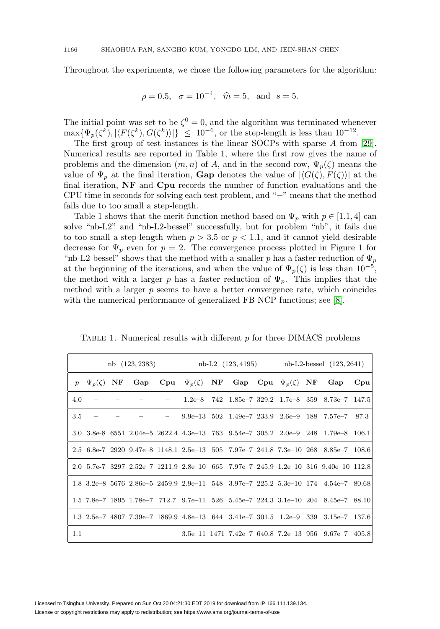Throughout the experiments, we chose the following parameters for the algorithm:

$$
\rho = 0.5
$$
,  $\sigma = 10^{-4}$ ,  $\hat{m} = 5$ , and  $s = 5$ .

The initial point was set to be  $\zeta^0 = 0$ , and the algorithm was terminated whenever  $\max{\Psi_p(\zeta^k)}, |\langle F(\zeta^k), G(\zeta^k) \rangle| \leq 10^{-6}$ , or the step-length is less than  $10^{-12}$ .

The first group of test instances is the linear SOCPs with sparse A from [\[29\]](#page-27-20). Numerical results are reported in Table 1, where the first row gives the name of problems and the dimension  $(m, n)$  of A, and in the second row,  $\Psi_p(\zeta)$  means the value of  $\Psi_p$  at the final iteration, **Gap** denotes the value of  $|\langle G(\zeta), F(\zeta) \rangle|$  at the final iteration, **NF** and **Cpu** records the number of function evaluations and the CPU time in seconds for solving each test problem, and "−" means that the method fails due to too small a step-length.

Table 1 shows that the merit function method based on  $\Psi_p$  with  $p \in [1.1, 4]$  can solve "nb-L2" and "nb-L2-bessel" successfully, but for problem "nb", it fails due to too small a step-length when  $p > 3.5$  or  $p < 1.1$ , and it cannot yield desirable decrease for  $\Psi_p$  even for  $p = 2$ . The convergence process plotted in Figure 1 for "nb-L2-bessel" shows that the method with a smaller p has a faster reduction of  $\Psi_p$ at the beginning of the iterations, and when the value of  $\Psi_p(\zeta)$  is less than 10<sup>-5</sup>, the method with a larger p has a faster reduction of  $\Psi_p$ . This implies that the method with a larger  $p$  seems to have a better convergence rate, which coincides with the numerical performance of generalized FB NCP functions; see [\[8\]](#page-26-6).

|                  | nb (123, 2383)     |  |                                                                   |  | nb-L2 (123, 4195)                                                |  |                                   |  | $nb-L2-bessel (123, 2641)$ |  |                                                                                                       |              |
|------------------|--------------------|--|-------------------------------------------------------------------|--|------------------------------------------------------------------|--|-----------------------------------|--|----------------------------|--|-------------------------------------------------------------------------------------------------------|--------------|
| $\boldsymbol{p}$ | $\Psi_p(\zeta)$ NF |  | Gap                                                               |  | $\mathbf{Cpu} \mid \Psi_p(\zeta)$ NF Gap Cpu  $\Psi_p(\zeta)$ NF |  |                                   |  |                            |  | Gap                                                                                                   | $C_{\rm Du}$ |
| 4.0              |                    |  |                                                                   |  |                                                                  |  |                                   |  |                            |  | $1.2e-8$ 742 $1.85e-7$ 329.2 $1.7e-8$ 359 $8.73e-7$ 147.5                                             |              |
| 3.5              |                    |  |                                                                   |  |                                                                  |  | $9.9e-13$ $502$ $1.49e-7$ $233.9$ |  | $2.6e-9$                   |  | 188 7.57e–7                                                                                           | 87.3         |
|                  |                    |  |                                                                   |  |                                                                  |  |                                   |  |                            |  | $3.0 3.8e-865512.04e-52622.4 4.3e-137639.54e-7305.2 2.0e-92481.79e-8106.1$                            |              |
|                  |                    |  |                                                                   |  |                                                                  |  |                                   |  |                            |  | $2.5 \mid 6.8$ e-7 2920 $9.47$ e-8 1148.1 $\mid 2.5$ e-13 505 7.97e-7 241.8 7.3e-10 268 8.85e-7 108.6 |              |
|                  |                    |  |                                                                   |  |                                                                  |  |                                   |  |                            |  | $2.0 5.7e-732972.52e-71211.9 2.8e-10657.97e-7245.9 1.2e-103169.40e-1012.8$                            |              |
|                  |                    |  |                                                                   |  |                                                                  |  |                                   |  |                            |  | $1.8 3.2e-8$ 5676 $2.86e-5$ $2459.9 2.9e-11$ 548 $3.97e-7$ $225.2 5.3e-10$ 174 $4.54e-7$ $80.68$      |              |
|                  |                    |  |                                                                   |  |                                                                  |  |                                   |  |                            |  | $1.5$  7.8e-7 1895 1.78e-7 712.7  9.7e-11 526 5.45e-7 224.3   3.1e-10 204 8.45e-7 88.10               |              |
|                  |                    |  | $1.3 2.5e-7$ 4807 7.39e-7 1869.9 4.8e-13 644 3.41e-7 301.5 1.2e-9 |  |                                                                  |  |                                   |  |                            |  | $339 \quad 3.15e-7 \quad 137.6$                                                                       |              |
| 1.1              |                    |  |                                                                   |  |                                                                  |  |                                   |  |                            |  | $3.5e-11$ 1471 7.42e-7 640.8 7.2e-13 956 9.67e-7 405.8                                                |              |

TABLE 1. Numerical results with different  $p$  for three DIMACS problems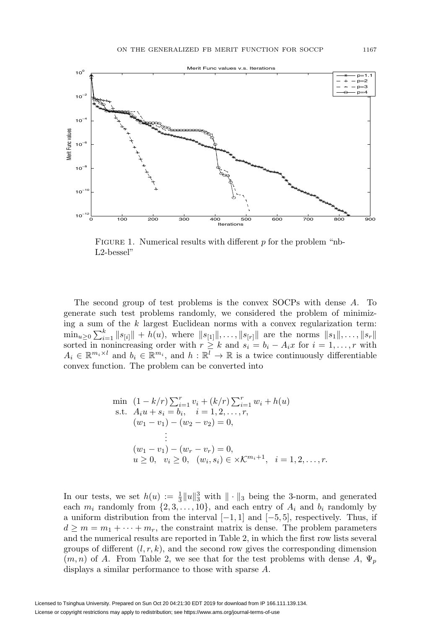

FIGURE 1. Numerical results with different  $p$  for the problem "nb-L2-bessel"

The second group of test problems is the convex SOCPs with dense A. To generate such test problems randomly, we considered the problem of minimizing a sum of the  $k$  largest Euclidean norms with a convex regularization term:  $\min_{u\geq 0} \sum_{i=1}^k ||s_{[i]}|| + h(u)$ , where  $||s_{[1]}||, \ldots, ||s_{[r]}||$  are the norms  $||s_1||, \ldots, ||s_r||$ sorted in nonincreasing order with  $r \geq k$  and  $s_i = b_i - A_i x$  for  $i = 1, \ldots, r$  with  $A_i \in \mathbb{R}^{m_i \times l}$  and  $b_i \in \mathbb{R}^{m_i}$ , and  $h : \mathbb{R}^l \to \mathbb{R}$  is a twice continuously differentiable convex function. The problem can be converted into

$$
\begin{aligned}\n\min \quad & (1 - k/r) \sum_{i=1}^{r} v_i + (k/r) \sum_{i=1}^{r} w_i + h(u) \\
\text{s.t.} \quad & A_i u + s_i = b_i, \quad i = 1, 2, \dots, r, \\
& (w_1 - v_1) - (w_2 - v_2) = 0, \\
& \vdots \\
& (w_1 - v_1) - (w_r - v_r) = 0, \\
& u \ge 0, \quad v_i \ge 0, \quad (w_i, s_i) \in \times \mathcal{K}^{m_i + 1}, \quad i = 1, 2, \dots, r.\n\end{aligned}
$$

In our tests, we set  $h(u) := \frac{1}{3} ||u||_3^3$  with  $|| \cdot ||_3$  being the 3-norm, and generated each  $m_i$  randomly from  $\{2, 3, ..., 10\}$ , and each entry of  $A_i$  and  $b_i$  randomly by a uniform distribution from the interval  $[-1, 1]$  and  $[-5, 5]$ , respectively. Thus, if  $d \geq m = m_1 + \cdots + m_r$ , the constraint matrix is dense. The problem parameters and the numerical results are reported in Table 2, in which the first row lists several groups of different  $(l, r, k)$ , and the second row gives the corresponding dimension  $(m, n)$  of A. From Table 2, we see that for the test problems with dense A,  $\Psi_p$ displays a similar performance to those with sparse A.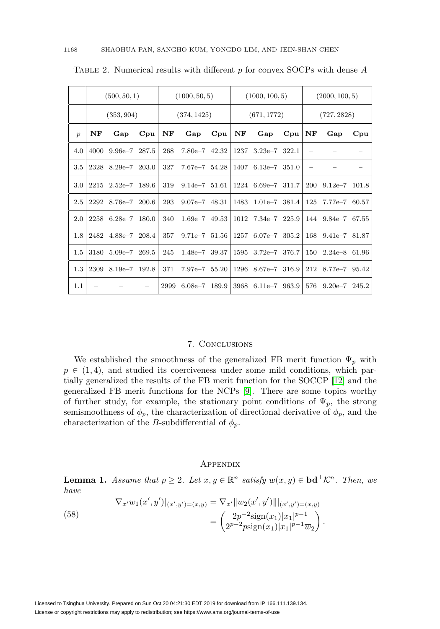|                  |    | (500, 50, 1)             |        | (1000, 50, 5) |                 |       | (1000, 100, 5) |                                            |          | (2000, 100, 5) |                                   |        |
|------------------|----|--------------------------|--------|---------------|-----------------|-------|----------------|--------------------------------------------|----------|----------------|-----------------------------------|--------|
|                  |    | (353, 904)               |        | (374, 1425)   |                 |       | (671, 1772)    |                                            |          | (727, 2828)    |                                   |        |
| $\boldsymbol{p}$ | NF | Gap                      | $C$ pu | NF            | Gap             | Cpu   | NF             | Gap                                        | $Cpu$ NF |                | Gap                               | $C$ pu |
| 4.0              |    | 4000 9.96e-7 287.5       |        | 268           | $7.80e-7$ 42.32 |       |                | 1237 3.23e-7 322.1                         |          |                |                                   |        |
| 3.5              |    | 2328 8.29e-7 203.0       |        | 327           | $7.67e-7$ 54.28 |       |                | $1407$ 6.13e-7 351.0                       |          |                |                                   |        |
| 3.0 <sub>z</sub> |    | $2215$ $2.52e-7$ $189.6$ |        | 319           |                 |       |                | $9.14e-7$ $51.61$ $1224$ $6.69e-7$ $311.7$ |          |                | $200$ $9.12e-7$ $101.8$           |        |
| 2.5              |    | 2292 8.76e-7 200.6       |        | 293           | $9.07e-7$ 48.31 |       |                | 1483 1.01e-7 381.4                         |          |                | 125 7.77e-7 60.57                 |        |
| 2.0              |    | 2258 6.28e-7 180.0       |        | 340           | $1.69e-7$ 49.53 |       |                | 1012 7.34e-7 225.9                         |          |                | 144 9.84e-7 67.55                 |        |
| 1.8              |    | 2482 4.88e-7 208.4       |        | 357           | $9.71e-7$ 51.56 |       |                | 1257 6.07e-7 305.2                         |          |                | 168 9.41e-7 81.87                 |        |
| 1.5              |    | 3180 5.09e-7 269.5       |        | 245           | $1.48e-7$ 39.37 |       |                | 1595 3.72e-7 376.7                         |          |                | $150 \quad 2.24 \in \infty$ 61.96 |        |
| 1.3              |    | 2309 8.19e-7 192.8       |        | 371           | $7.97e-7$ 55.20 |       |                | 1296 8.67e-7 316.9                         |          |                | 212 8.77e-7 95.42                 |        |
| 1.1              |    |                          |        | 2999          | $6.08e - 7$     | 189.9 | 3968           | $6.11e-7$ 963.9                            |          | 576            | $9.20e-7$ 245.2                   |        |

TABLE 2. Numerical results with different  $p$  for convex SOCPs with dense  $A$ 

### 7. Conclusions

We established the smoothness of the generalized FB merit function  $\Psi_p$  with  $p \in (1, 4)$ , and studied its coerciveness under some mild conditions, which partially generalized the results of the FB merit function for the SOCCP [\[12\]](#page-27-10) and the generalized FB merit functions for the NCPs [\[9\]](#page-26-5). There are some topics worthy of further study, for example, the stationary point conditions of  $\Psi_p$ , the strong semismoothness of  $\phi_p$ , the characterization of directional derivative of  $\phi_p$ , and the characterization of the B-subdifferential of  $\phi_p$ .

## **APPENDIX**

**Lemma 1.** Assume that  $p \geq 2$ . Let  $x, y \in \mathbb{R}^n$  satisfy  $w(x, y) \in \text{bd}^+\mathcal{K}^n$ . Then, we have

(58) 
$$
\nabla_{x'} w_1(x', y')|_{(x', y') = (x, y)} = \nabla_{x'} ||w_2(x', y')||_{(x', y') = (x, y)}
$$

$$
= \begin{pmatrix} 2p^{-2}\text{sign}(x_1)|x_1|^{p-1} \\ 2^{p-2}\text{psign}(x_1)|x_1|^{p-1}\overline{w}_2 \end{pmatrix}.
$$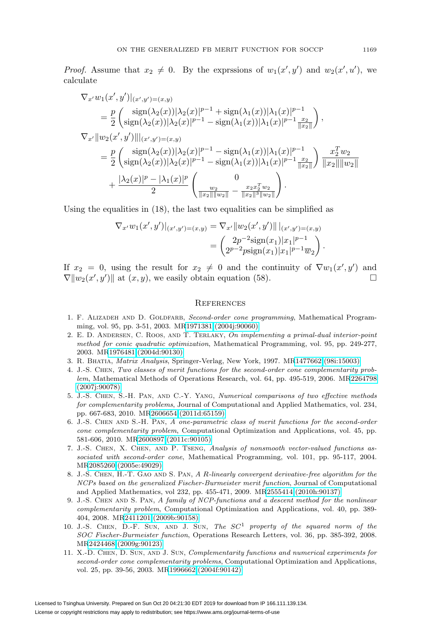*Proof.* Assume that  $x_2 \neq 0$ . By the exprssions of  $w_1(x', y')$  and  $w_2(x', u')$ , we calculate

$$
\nabla_{x'} w_1(x',y')|_{(x',y')=(x,y)} \n= \frac{p}{2} \left( \frac{\text{sign}(\lambda_2(x))|\lambda_2(x)|^{p-1} + \text{sign}(\lambda_1(x))|\lambda_1(x)|^{p-1}}{\text{sign}(\lambda_2(x))|\lambda_2(x)|^{p-1} - \text{sign}(\lambda_1(x))|\lambda_1(x)|^{p-1} \frac{x_2}{\|x_2\|}} \right), \n\nabla_{x'} \|w_2(x',y')\|_{(x',y')=(x,y)} \n= \frac{p}{2} \left( \frac{\text{sign}(\lambda_2(x))|\lambda_2(x)|^{p-1} - \text{sign}(\lambda_1(x))|\lambda_1(x)|^{p-1}}{\text{sign}(\lambda_1(x))|\lambda_1(x)|^{p-1} \frac{x_2}{\|x_2\|}} \right) \frac{x_2^T w_2}{\|x_2\| \|w_2\|} \n+ \frac{|\lambda_2(x)|^p - |\lambda_1(x)|^p}{2} \left( \frac{0}{\|x_2\| \|w_2\|} - \frac{x_2 x_2^T w_2}{\|x_2\| \|w_2\|} \right).
$$

Using the equalities in (18), the last two equalities can be simplified as

 $y = k$ ,  $k$ 

$$
\nabla_{x'} w_1(x',y')|_{(x',y')=(x,y)} = \nabla_{x'} ||w_2(x',y')||_{(x',y')=(x,y)} \n= \begin{pmatrix} 2p^{-2}\text{sign}(x_1)|x_1|^{p-1} \\ 2p^{-2}\text{sign}(x_1)|x_1|^{p-1}\overline{w_2} \end{pmatrix}.
$$

If  $x_2 = 0$ , using the result for  $x_2 \neq 0$  and the continuity of  $\nabla w_1(x', y')$  and  $\nabla \|w_2(x', y')\|$  at  $(x, y)$ , we easily obtain equation (58).

#### **REFERENCES**

- <span id="page-26-0"></span>1. F. ALIZADEH AND D. GOLDFARB, Second-order cone programming, Mathematical Programming, vol. 95, pp. 3-51, 2003. M[R1971381 \(2004j:90060\)](http://www.ams.org/mathscinet-getitem?mr=1971381)
- <span id="page-26-1"></span>2. E. D. ANDERSEN, C. ROOS, AND T. TERLAKY, On implementing a primal-dual interior-point method for conic quadratic optimization, Mathematical Programming, vol. 95, pp. 249-277, 2003. M[R1976481 \(2004d:90130\)](http://www.ams.org/mathscinet-getitem?mr=1976481)
- <span id="page-26-10"></span><span id="page-26-3"></span>3. R. Bhatia, Matrix Analysis, Springer-Verlag, New York, 1997. M[R1477662 \(98i:15003\)](http://www.ams.org/mathscinet-getitem?mr=1477662)
- 4. J.-S. Chen, Two classes of merit functions for the second-order cone complementarity problem, Mathematical Methods of Operations Research, vol. 64, pp. 495-519, 2006. M[R2264798](http://www.ams.org/mathscinet-getitem?mr=2264798) [\(2007j:90078\)](http://www.ams.org/mathscinet-getitem?mr=2264798)
- <span id="page-26-7"></span>5. J.-S. Chen, S.-H. Pan, and C.-Y. Yang, Numerical comparisons of two effective methods for complementarity problems, Journal of Computational and Applied Mathematics, vol. 234, pp. 667-683, 2010. M[R2606654 \(2011d:65159\)](http://www.ams.org/mathscinet-getitem?mr=2606654)
- <span id="page-26-8"></span>6. J.-S. Chen and S.-H. Pan, A one-parametric class of merit functions for the second-order cone complementarity problem, Computational Optimization and Applications, vol. 45, pp. 581-606, 2010. M[R2600897 \(2011c:90105\)](http://www.ams.org/mathscinet-getitem?mr=2600897)
- <span id="page-26-9"></span>7. J.-S. Chen, X. Chen, and P. Tseng, Analysis of nonsmooth vector-valued functions associated with second-order cone, Mathematical Programming, vol. 101, pp. 95-117, 2004. M[R2085260 \(2005e:49029\)](http://www.ams.org/mathscinet-getitem?mr=2085260)
- <span id="page-26-6"></span>8. J.-S. Chen, H.-T. Gao and S. Pan, A R-linearly convergent derivative-free algorithm for the NCPs based on the generalized Fischer-Burmeister merit function, Journal of Computational and Applied Mathematics, vol 232, pp. 455-471, 2009. M[R2555414 \(2010h:90137\)](http://www.ams.org/mathscinet-getitem?mr=2555414)
- <span id="page-26-5"></span>9. J.-S. CHEN AND S. PAN, A family of NCP-functions and a descent method for the nonlinear complementarity problem, Computational Optimization and Applications, vol. 40, pp. 389- 404, 2008. M[R2411201 \(2009b:90158\)](http://www.ams.org/mathscinet-getitem?mr=2411201)
- <span id="page-26-4"></span>10. J.-S. CHEN, D.-F. SUN, AND J. SUN, The  $SC<sup>1</sup>$  property of the squared norm of the SOC Fischer-Burmeister function, Operations Research Letters, vol. 36, pp. 385-392, 2008. M[R2424468 \(2009g:90123\)](http://www.ams.org/mathscinet-getitem?mr=2424468)
- <span id="page-26-2"></span>11. X.-D. Chen, D. Sun, and J. Sun, Complementarity functions and numerical experiments for second-order cone complementarity problems, Computational Optimization and Applications, vol. 25, pp. 39-56, 2003. M[R1996662 \(2004f:90142\)](http://www.ams.org/mathscinet-getitem?mr=1996662)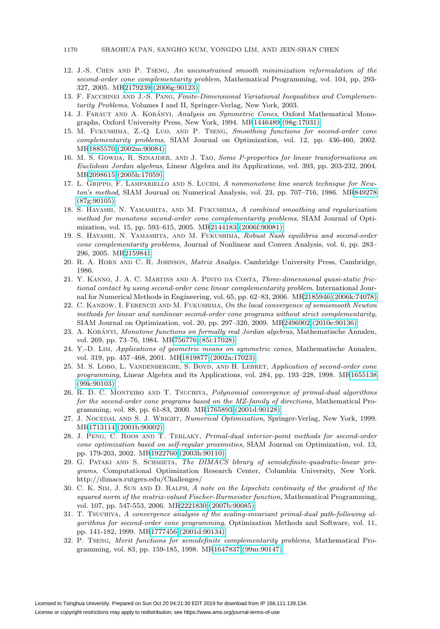#### 1170 SHAOHUA PAN, SANGHO KUM, YONGDO LIM, AND JEIN-SHAN CHEN

- <span id="page-27-10"></span>12. J.-S. Chen and P. Tseng, An unconstrained smooth minimization reformulation of the second-order cone complementarity problem, Mathematical Programming, vol. 104, pp. 293- 327, 2005. M[R2179239 \(2006g:90123\)](http://www.ams.org/mathscinet-getitem?mr=2179239)
- <span id="page-27-13"></span><span id="page-27-0"></span>13. F. FACCHINEI AND J.-S. PANG, Finite-Dimensional Variational Inequalities and Complementarity Problems, Volumes I and II, Springer-Verlag, New York, 2003.
- 14. J. FARAUT AND A. KORÁNYI, Analysis on Symmetric Cones, Oxford Mathematical Monographs, Oxford University Press, New York, 1994. M[R1446489 \(98g:17031\)](http://www.ams.org/mathscinet-getitem?mr=1446489)
- <span id="page-27-7"></span>15. M. Fukushima, Z.-Q. Luo, and P. Tseng, Smoothing functions for second-order cone complementarity problems, SIAM Journal on Optimization, vol. 12, pp. 436-460, 2002. M[R1885570 \(2002m:90084\)](http://www.ams.org/mathscinet-getitem?mr=1885570)
- <span id="page-27-16"></span>16. M. S. GOWDA, R. SZNAJDER, AND J. TAO, Some P-properties for linear transformations on Euclidean Jordan algebras, Linear Algebra and its Applications, vol. 393, pp. 203-232, 2004. M[R2098615 \(2005h:17059\)](http://www.ams.org/mathscinet-getitem?mr=2098615)
- <span id="page-27-19"></span>17. L. GRIPPO, F. LAMPARIELLO AND S. LUCIDI, A nonmonotone line search technique for Newton's method, SIAM Journal on Numerical Analysis, vol. 23, pp. 707–716, 1986. M[R849278](http://www.ams.org/mathscinet-getitem?mr=849278) [\(87g:90105\)](http://www.ams.org/mathscinet-getitem?mr=849278)
- <span id="page-27-8"></span>18. S. Hayashi, N. Yamashita, and M. Fukushima, A combined smoothing and regularization method for monotone second-order cone complementarity problems, SIAM Journal of Optimization, vol. 15, pp. 593–615, 2005. M[R2144183 \(2006f:90081\)](http://www.ams.org/mathscinet-getitem?mr=2144183)
- <span id="page-27-2"></span>19. S. Hayashi, N. Yamashita, and M. Fukushima, Robust Nash equilibria and second-order cone complementarity problems, Journal of Nonlinear and Convex Analysis, vol. 6, pp. 283– 296, 2005. M[R2159841](http://www.ams.org/mathscinet-getitem?mr=2159841)
- <span id="page-27-17"></span><span id="page-27-1"></span>20. R. A. Horn and C. R. Johnson, Matrix Analyis. Cambridge University Press, Cambridge, 1986.
- 21. Y. Kanno, J. A. C. Martins and A. Pinto da Costa, Three-dimensional quasi-static frictional contact by using second-order cone linear complementarity problem. International Journal for Numerical Methods in Engineering, vol. 65, pp. 62–83, 2006. M[R2185946 \(2006k:74078\)](http://www.ams.org/mathscinet-getitem?mr=2185946)
- <span id="page-27-9"></span>22. C. Kanzow, I. Ferenczi and M. Fukushima, On the local convergence of semismooth Newton methods for linear and nonlinear second-order cone programs without strict complementarity, SIAM Journal on Optimization, vol. 20, pp. 297–320, 2009. M[R2496902 \(2010e:90136\)](http://www.ams.org/mathscinet-getitem?mr=2496902)
- <span id="page-27-14"></span>23. A. KORÁNYI, Monotone functions on formally real Jordan algebras, Mathematische Annalen, vol. 269, pp. 73–76, 1984. M[R756776 \(85i:17028\)](http://www.ams.org/mathscinet-getitem?mr=756776)
- <span id="page-27-15"></span>24. Y.-D. Lim, Applications of geometric means on symmetric cones, Mathematische Annalen, vol. 319, pp. 457–468, 2001. M[R1819877 \(2002a:17023\)](http://www.ams.org/mathscinet-getitem?mr=1819877)
- <span id="page-27-3"></span>25. M. S. LOBO, L. VANDENBERGHE, S. BOYD, AND H. LEBRET, Application of second-order cone programming, Linear Algebra and its Applications, vol. 284, pp. 193–228, 1998. M[R1655138](http://www.ams.org/mathscinet-getitem?mr=1655138) [\(99k:90103\)](http://www.ams.org/mathscinet-getitem?mr=1655138)
- <span id="page-27-4"></span>26. R. D. C. MONTEIRO AND T. TSUCHIYA, Polynomial convergence of primal-dual algorithms for the second-order cone programs based on the MZ-family of directions, Mathematical Programming, vol. 88, pp. 61-83, 2000. M[R1765893 \(2001d:90128\)](http://www.ams.org/mathscinet-getitem?mr=1765893)
- <span id="page-27-18"></span>27. J. NOCEDAL AND S. J. WRIGHT, Numerical Optimization, Springer-Verlag, New York, 1999. M[R1713114 \(2001b:90002\)](http://www.ams.org/mathscinet-getitem?mr=1713114)
- <span id="page-27-5"></span>28. J. Peng, C. Roos and T. Terlaky, Primal-dual interior-point methods for second-order cone optimization based on self-regular proximities, SIAM Journal on Optimization, vol. 13, pp. 179-203, 2002. M[R1922760 \(2003h:90110\)](http://www.ams.org/mathscinet-getitem?mr=1922760)
- <span id="page-27-20"></span>29. G. PATAKI AND S. SCHMIETA, The DIMACS library of semidefinite-quadratic-linear programs, Computational Optimization Research Center, Columbia University, New York. http://dimacs.rutgers.edu/Challenges/
- <span id="page-27-11"></span>30. C. K. Sim, J. Sun and D. Ralph, A note on the Lipschitz continuity of the gradient of the squared norm of the matrix-valued Fischer-Burmeister function, Mathematical Programming, vol. 107, pp. 547-553, 2006. M[R2221830 \(2007b:90085\)](http://www.ams.org/mathscinet-getitem?mr=2221830)
- <span id="page-27-6"></span>31. T. Tsuchiya, A convergence analysis of the scaling-invariant primal-dual path-following algorithms for second-order cone programming, Optimization Methods and Software, vol. 11, pp. 141-182, 1999. M[R1777456 \(2001d:90134\)](http://www.ams.org/mathscinet-getitem?mr=1777456)
- <span id="page-27-12"></span>32. P. Tseng, Merit functions for semidefinite complementarity problems, Mathematical Programming, vol. 83, pp. 159-185, 1998. M[R1647837 \(99m:90147\)](http://www.ams.org/mathscinet-getitem?mr=1647837)